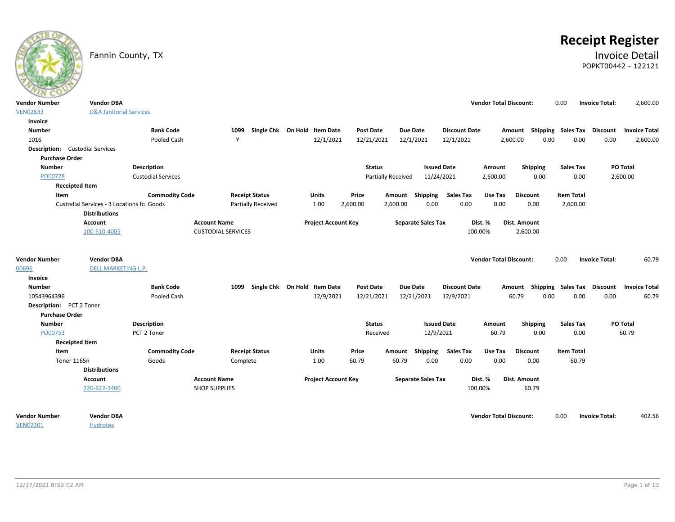# **Receipt Register**

### Fannin County, TX **Invoice Detail** POPKT00442 - 122121

| $\sim$                                 |                                           |                           |                           |                              |                            |                  |                           |                           |                      |                               |                                    |                   |                       |                      |
|----------------------------------------|-------------------------------------------|---------------------------|---------------------------|------------------------------|----------------------------|------------------|---------------------------|---------------------------|----------------------|-------------------------------|------------------------------------|-------------------|-----------------------|----------------------|
| <b>Vendor Number</b>                   | <b>Vendor DBA</b>                         |                           |                           |                              |                            |                  |                           |                           |                      | <b>Vendor Total Discount:</b> |                                    | 0.00              | <b>Invoice Total:</b> | 2,600.00             |
| <b>VEN02833</b>                        | <b>D&amp;A Janitorial Services</b>        |                           |                           |                              |                            |                  |                           |                           |                      |                               |                                    |                   |                       |                      |
| Invoice                                |                                           |                           |                           |                              |                            |                  |                           |                           |                      |                               |                                    |                   |                       |                      |
| <b>Number</b>                          |                                           | <b>Bank Code</b>          | 1099                      | Single Chk On Hold Item Date |                            | Post Date        |                           | Due Date                  | <b>Discount Date</b> |                               | Amount Shipping Sales Tax Discount |                   |                       | <b>Invoice Total</b> |
| 1016                                   |                                           | Pooled Cash               | Y                         |                              | 12/1/2021                  | 12/21/2021       |                           | 12/1/2021                 | 12/1/2021            |                               | 2,600.00<br>0.00                   | 0.00              | 0.00                  | 2,600.00             |
| <b>Description:</b> Custodial Services |                                           |                           |                           |                              |                            |                  |                           |                           |                      |                               |                                    |                   |                       |                      |
| <b>Purchase Order</b>                  |                                           |                           |                           |                              |                            |                  |                           |                           |                      |                               |                                    |                   |                       |                      |
| <b>Number</b>                          |                                           | <b>Description</b>        |                           |                              |                            | <b>Status</b>    |                           | <b>Issued Date</b>        |                      | Amount                        | <b>Shipping</b>                    | <b>Sales Tax</b>  |                       | PO Total             |
| PO00728                                |                                           | <b>Custodial Services</b> |                           |                              |                            |                  | <b>Partially Received</b> | 11/24/2021                |                      | 2,600.00                      | 0.00                               | 0.00              |                       | 2,600.00             |
|                                        | <b>Receipted Item</b>                     |                           |                           |                              |                            |                  |                           |                           |                      |                               |                                    |                   |                       |                      |
| Item                                   |                                           | <b>Commodity Code</b>     | <b>Receipt Status</b>     |                              | Units                      | Price            |                           | Amount Shipping           | <b>Sales Tax</b>     | Use Tax                       | <b>Discount</b>                    | <b>Item Total</b> |                       |                      |
|                                        | Custodial Services - 3 Locations fo Goods |                           |                           | <b>Partially Received</b>    | 1.00                       | 2,600.00         | 2,600.00                  | 0.00                      | 0.00                 | 0.00                          | 0.00                               | 2,600.00          |                       |                      |
|                                        | <b>Distributions</b>                      |                           |                           |                              |                            |                  |                           |                           |                      |                               |                                    |                   |                       |                      |
|                                        | Account                                   |                           | <b>Account Name</b>       |                              | <b>Project Account Key</b> |                  |                           | <b>Separate Sales Tax</b> |                      | Dist. %                       | Dist. Amount                       |                   |                       |                      |
|                                        | 100-510-4005                              |                           | <b>CUSTODIAL SERVICES</b> |                              |                            |                  |                           |                           |                      | 100.00%                       | 2,600.00                           |                   |                       |                      |
|                                        |                                           |                           |                           |                              |                            |                  |                           |                           |                      |                               |                                    |                   |                       |                      |
|                                        |                                           |                           |                           |                              |                            |                  |                           |                           |                      |                               |                                    |                   |                       |                      |
| <b>Vendor Number</b>                   | <b>Vendor DBA</b>                         |                           |                           |                              |                            |                  |                           |                           |                      | <b>Vendor Total Discount:</b> |                                    | 0.00              | <b>Invoice Total:</b> | 60.79                |
| 00696                                  | <b>DELL MARKETING L.P.</b>                |                           |                           |                              |                            |                  |                           |                           |                      |                               |                                    |                   |                       |                      |
| Invoice                                |                                           |                           |                           |                              |                            |                  |                           |                           |                      |                               |                                    |                   |                       |                      |
| <b>Number</b>                          |                                           | <b>Bank Code</b>          | 1099                      | Single Chk On Hold Item Date |                            | <b>Post Date</b> |                           | <b>Due Date</b>           | <b>Discount Date</b> |                               | Amount Shipping Sales Tax          |                   | <b>Discount</b>       | <b>Invoice Total</b> |
| 10543964396                            |                                           | Pooled Cash               |                           |                              | 12/9/2021                  | 12/21/2021       |                           | 12/21/2021                | 12/9/2021            |                               | 60.79<br>0.00                      | 0.00              | 0.00                  | 60.79                |
| Description: PCT 2 Toner               |                                           |                           |                           |                              |                            |                  |                           |                           |                      |                               |                                    |                   |                       |                      |
| <b>Purchase Order</b>                  |                                           |                           |                           |                              |                            |                  |                           |                           |                      |                               |                                    |                   |                       |                      |
| <b>Number</b>                          |                                           | <b>Description</b>        |                           |                              |                            | <b>Status</b>    |                           | <b>Issued Date</b>        |                      | Amount                        | <b>Shipping</b>                    | <b>Sales Tax</b>  |                       | PO Total             |
| PO00753                                |                                           | PCT 2 Toner               |                           |                              |                            | Received         |                           | 12/9/2021                 |                      | 60.79                         | 0.00                               | 0.00              |                       | 60.79                |
|                                        | <b>Receipted Item</b>                     |                           |                           |                              |                            |                  |                           |                           |                      |                               |                                    |                   |                       |                      |
| Item                                   |                                           | <b>Commodity Code</b>     | <b>Receipt Status</b>     |                              | Units                      | Price            | Amount                    | Shipping                  | <b>Sales Tax</b>     | Use Tax                       | <b>Discount</b>                    | <b>Item Total</b> |                       |                      |
| Toner 1165n                            |                                           | Goods                     | Complete                  |                              | 1.00                       | 60.79            | 60.79                     | 0.00                      | 0.00                 | 0.00                          | 0.00                               | 60.79             |                       |                      |
|                                        | <b>Distributions</b>                      |                           |                           |                              |                            |                  |                           |                           |                      |                               |                                    |                   |                       |                      |
|                                        | <b>Account</b>                            |                           | <b>Account Name</b>       |                              | <b>Project Account Key</b> |                  |                           | <b>Separate Sales Tax</b> |                      | Dist. %                       | Dist. Amount                       |                   |                       |                      |
|                                        | 220-622-3400                              |                           | <b>SHOP SUPPLIES</b>      |                              |                            |                  |                           |                           |                      | 100.00%                       | 60.79                              |                   |                       |                      |
|                                        |                                           |                           |                           |                              |                            |                  |                           |                           |                      |                               |                                    |                   |                       |                      |
|                                        |                                           |                           |                           |                              |                            |                  |                           |                           |                      |                               |                                    |                   |                       |                      |
| <b>Vendor Number</b>                   | <b>Vendor DBA</b>                         |                           |                           |                              |                            |                  |                           |                           |                      | <b>Vendor Total Discount:</b> |                                    | 0.00              | <b>Invoice Total:</b> | 402.56               |
| <b>VEN02201</b>                        | <b>Hydrotex</b>                           |                           |                           |                              |                            |                  |                           |                           |                      |                               |                                    |                   |                       |                      |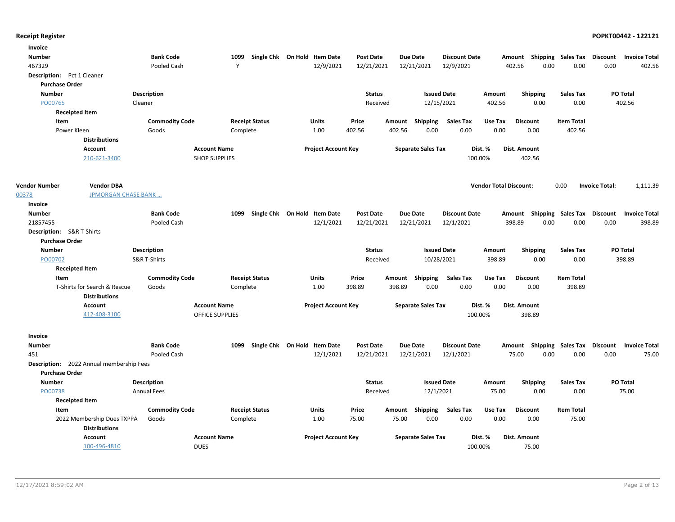| Invoice                    |                                                 |                       |                        |                       |                              |                  |        |                           |                      |                               |                           |                           |                       |                      |
|----------------------------|-------------------------------------------------|-----------------------|------------------------|-----------------------|------------------------------|------------------|--------|---------------------------|----------------------|-------------------------------|---------------------------|---------------------------|-----------------------|----------------------|
| <b>Number</b>              |                                                 | <b>Bank Code</b>      | 1099                   |                       | Single Chk On Hold Item Date | <b>Post Date</b> |        | <b>Due Date</b>           | <b>Discount Date</b> |                               | Amount                    | <b>Shipping Sales Tax</b> | Discount              | <b>Invoice Total</b> |
| 467329                     |                                                 | Pooled Cash           | Y                      |                       | 12/9/2021                    | 12/21/2021       |        | 12/21/2021                | 12/9/2021            |                               | 0.00<br>402.56            | 0.00                      | 0.00                  | 402.56               |
| Description: Pct 1 Cleaner |                                                 |                       |                        |                       |                              |                  |        |                           |                      |                               |                           |                           |                       |                      |
| <b>Purchase Order</b>      |                                                 |                       |                        |                       |                              |                  |        |                           |                      |                               |                           |                           |                       |                      |
| <b>Number</b>              |                                                 | <b>Description</b>    |                        |                       |                              | <b>Status</b>    |        |                           | <b>Issued Date</b>   | Amount                        | <b>Shipping</b>           | <b>Sales Tax</b>          |                       | PO Total             |
| PO00765                    |                                                 | Cleaner               |                        |                       |                              | Received         |        | 12/15/2021                |                      | 402.56                        | 0.00                      | 0.00                      |                       | 402.56               |
| <b>Receipted Item</b>      |                                                 |                       |                        |                       |                              |                  |        |                           |                      |                               |                           |                           |                       |                      |
| Item                       |                                                 | <b>Commodity Code</b> |                        | <b>Receipt Status</b> | <b>Units</b>                 | Price            |        | Amount Shipping           | <b>Sales Tax</b>     | Use Tax                       | <b>Discount</b>           | <b>Item Total</b>         |                       |                      |
| Power Kleen                |                                                 | Goods                 |                        | Complete              | 1.00                         | 402.56           | 402.56 | 0.00                      | 0.00                 | 0.00                          | 0.00                      | 402.56                    |                       |                      |
|                            | <b>Distributions</b>                            |                       |                        |                       |                              |                  |        |                           |                      |                               |                           |                           |                       |                      |
|                            | Account                                         |                       | <b>Account Name</b>    |                       | <b>Project Account Key</b>   |                  |        | <b>Separate Sales Tax</b> | Dist. %              |                               | Dist. Amount              |                           |                       |                      |
|                            | 210-621-3400                                    |                       | <b>SHOP SUPPLIES</b>   |                       |                              |                  |        |                           | 100.00%              |                               | 402.56                    |                           |                       |                      |
|                            |                                                 |                       |                        |                       |                              |                  |        |                           |                      |                               |                           |                           |                       |                      |
|                            |                                                 |                       |                        |                       |                              |                  |        |                           |                      |                               |                           |                           |                       |                      |
| <b>Vendor Number</b>       | <b>Vendor DBA</b>                               |                       |                        |                       |                              |                  |        |                           |                      | <b>Vendor Total Discount:</b> |                           | 0.00                      | <b>Invoice Total:</b> | 1,111.39             |
| 00378                      | <b>JPMORGAN CHASE BANK</b>                      |                       |                        |                       |                              |                  |        |                           |                      |                               |                           |                           |                       |                      |
| Invoice                    |                                                 |                       |                        |                       |                              |                  |        |                           |                      |                               |                           |                           |                       |                      |
| <b>Number</b>              |                                                 | <b>Bank Code</b>      | 1099                   |                       | Single Chk On Hold Item Date | <b>Post Date</b> |        | <b>Due Date</b>           | <b>Discount Date</b> |                               | Shipping<br>Amount        | Sales Tax                 | <b>Discount</b>       | <b>Invoice Total</b> |
| 21857455                   |                                                 | Pooled Cash           |                        |                       | 12/1/2021                    | 12/21/2021       |        | 12/21/2021                | 12/1/2021            |                               | 398.89<br>0.00            | 0.00                      | 0.00                  | 398.89               |
| Description: S&R T-Shirts  |                                                 |                       |                        |                       |                              |                  |        |                           |                      |                               |                           |                           |                       |                      |
| <b>Purchase Order</b>      |                                                 |                       |                        |                       |                              |                  |        |                           |                      |                               |                           |                           |                       |                      |
| <b>Number</b>              |                                                 | <b>Description</b>    |                        |                       |                              | <b>Status</b>    |        |                           | <b>Issued Date</b>   | Amount                        | <b>Shipping</b>           | <b>Sales Tax</b>          |                       | PO Total             |
| PO00702                    |                                                 | S&R T-Shirts          |                        |                       |                              | Received         |        | 10/28/2021                |                      | 398.89                        | 0.00                      | 0.00                      |                       | 398.89               |
|                            | <b>Receipted Item</b>                           |                       |                        |                       |                              |                  |        |                           |                      |                               |                           |                           |                       |                      |
| Item                       |                                                 | <b>Commodity Code</b> |                        | <b>Receipt Status</b> | Units                        | Price            |        | Amount Shipping           | <b>Sales Tax</b>     | Use Tax                       | <b>Discount</b>           | <b>Item Total</b>         |                       |                      |
|                            | T-Shirts for Search & Rescue                    | Goods                 |                        | Complete              | 1.00                         | 398.89           | 398.89 | 0.00                      | 0.00                 | 0.00                          | 0.00                      | 398.89                    |                       |                      |
|                            | <b>Distributions</b>                            |                       |                        |                       |                              |                  |        |                           |                      |                               |                           |                           |                       |                      |
|                            | <b>Account</b>                                  |                       | <b>Account Name</b>    |                       | <b>Project Account Key</b>   |                  |        | <b>Separate Sales Tax</b> | Dist. %              |                               | Dist. Amount              |                           |                       |                      |
|                            | 412-408-3100                                    |                       | <b>OFFICE SUPPLIES</b> |                       |                              |                  |        |                           | 100.00%              |                               | 398.89                    |                           |                       |                      |
|                            |                                                 |                       |                        |                       |                              |                  |        |                           |                      |                               |                           |                           |                       |                      |
| Invoice                    |                                                 |                       |                        |                       |                              |                  |        |                           |                      |                               |                           |                           |                       |                      |
| <b>Number</b>              |                                                 | <b>Bank Code</b>      | 1099                   |                       | Single Chk On Hold Item Date | <b>Post Date</b> |        | <b>Due Date</b>           | <b>Discount Date</b> |                               | Amount Shipping Sales Tax |                           | <b>Discount</b>       | <b>Invoice Total</b> |
| 451                        |                                                 | Pooled Cash           |                        |                       | 12/1/2021                    | 12/21/2021       |        | 12/21/2021                | 12/1/2021            |                               | 75.00<br>0.00             | 0.00                      | 0.00                  | 75.00                |
|                            | <b>Description:</b> 2022 Annual membership Fees |                       |                        |                       |                              |                  |        |                           |                      |                               |                           |                           |                       |                      |
| <b>Purchase Order</b>      |                                                 |                       |                        |                       |                              |                  |        |                           |                      |                               |                           |                           |                       |                      |
| <b>Number</b>              |                                                 | <b>Description</b>    |                        |                       |                              | <b>Status</b>    |        |                           | <b>Issued Date</b>   | Amount                        | Shipping                  | <b>Sales Tax</b>          |                       | PO Total             |
| PO00738                    |                                                 | <b>Annual Fees</b>    |                        |                       |                              | Received         |        | 12/1/2021                 |                      | 75.00                         | 0.00                      | 0.00                      |                       | 75.00                |
| <b>Receipted Item</b>      |                                                 |                       |                        |                       |                              |                  |        |                           |                      |                               |                           |                           |                       |                      |
| Item                       |                                                 | <b>Commodity Code</b> |                        | <b>Receipt Status</b> | <b>Units</b>                 | Price            |        | Amount Shipping           | <b>Sales Tax</b>     | Use Tax                       | <b>Discount</b>           | <b>Item Total</b>         |                       |                      |
|                            | 2022 Membership Dues TXPPA                      | Goods                 |                        | Complete              | 1.00                         | 75.00            | 75.00  | 0.00                      | 0.00                 | 0.00                          | 0.00                      | 75.00                     |                       |                      |
|                            | <b>Distributions</b>                            |                       |                        |                       |                              |                  |        |                           |                      |                               |                           |                           |                       |                      |
|                            | <b>Account</b>                                  |                       | <b>Account Name</b>    |                       | <b>Project Account Key</b>   |                  |        | <b>Separate Sales Tax</b> | Dist. %              |                               | Dist. Amount              |                           |                       |                      |
|                            | 100-496-4810                                    |                       | <b>DUES</b>            |                       |                              |                  |        |                           | 100.00%              |                               | 75.00                     |                           |                       |                      |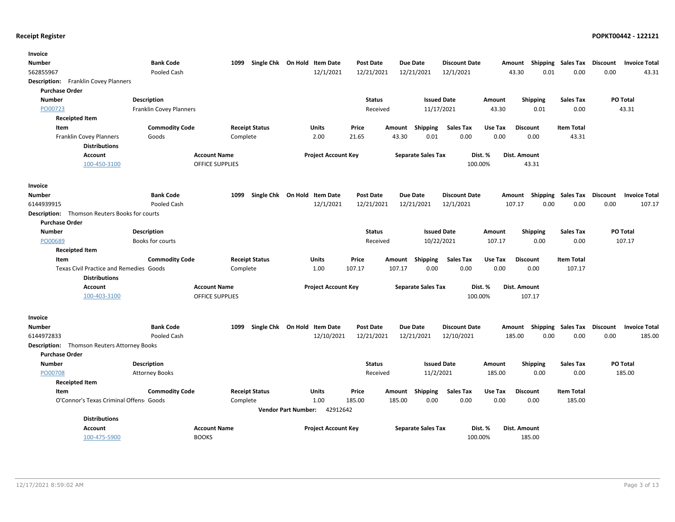| Invoice                                              |                         |                        |                                                |                  |                           |                      |              |                                      |                                                  |
|------------------------------------------------------|-------------------------|------------------------|------------------------------------------------|------------------|---------------------------|----------------------|--------------|--------------------------------------|--------------------------------------------------|
| <b>Number</b>                                        | <b>Bank Code</b>        | 1099                   | Single Chk On Hold Item Date                   | <b>Post Date</b> | <b>Due Date</b>           | <b>Discount Date</b> | Amount       | <b>Shipping Sales Tax</b>            | Discount<br><b>Invoice Total</b>                 |
| 562855967                                            | Pooled Cash             |                        | 12/1/2021                                      | 12/21/2021       | 12/21/2021                | 12/1/2021            | 43.30        | 0.01<br>0.00                         | 0.00<br>43.31                                    |
| <b>Description:</b><br>Franklin Covey Planners       |                         |                        |                                                |                  |                           |                      |              |                                      |                                                  |
| <b>Purchase Order</b>                                |                         |                        |                                                |                  |                           |                      |              |                                      |                                                  |
| <b>Number</b>                                        | Description             |                        |                                                | <b>Status</b>    |                           | <b>Issued Date</b>   | Amount       | <b>Shipping</b><br><b>Sales Tax</b>  | PO Total                                         |
| PO00723                                              | Franklin Covey Planners |                        |                                                | Received         |                           | 11/17/2021           | 43.30        | 0.01<br>0.00                         | 43.31                                            |
| <b>Receipted Item</b>                                |                         |                        |                                                |                  |                           |                      |              |                                      |                                                  |
| Item                                                 | <b>Commodity Code</b>   | <b>Receipt Status</b>  | Units                                          | Price            | Amount<br><b>Shipping</b> | <b>Sales Tax</b>     | Use Tax      | <b>Discount</b><br><b>Item Total</b> |                                                  |
| <b>Franklin Covey Planners</b>                       | Goods                   | Complete               | 2.00                                           | 21.65            | 43.30<br>0.01             | 0.00                 | 0.00         | 0.00<br>43.31                        |                                                  |
| <b>Distributions</b>                                 |                         |                        |                                                |                  |                           |                      |              |                                      |                                                  |
| <b>Account</b>                                       |                         | <b>Account Name</b>    | <b>Project Account Key</b>                     |                  | <b>Separate Sales Tax</b> | Dist. %              | Dist. Amount |                                      |                                                  |
| 100-450-3100                                         |                         | <b>OFFICE SUPPLIES</b> |                                                |                  |                           | 100.00%              |              | 43.31                                |                                                  |
| Invoice                                              |                         |                        |                                                |                  |                           |                      |              |                                      |                                                  |
| <b>Number</b>                                        | <b>Bank Code</b>        | 1099                   | Single Chk On Hold Item Date                   | <b>Post Date</b> | <b>Due Date</b>           | <b>Discount Date</b> |              |                                      | Amount Shipping Sales Tax Discount Invoice Total |
| 6144939915                                           | Pooled Cash             |                        | 12/1/2021                                      | 12/21/2021       | 12/21/2021                | 12/1/2021            | 107.17       | 0.00<br>0.00                         | 0.00<br>107.17                                   |
| <b>Description:</b> Thomson Reuters Books for courts |                         |                        |                                                |                  |                           |                      |              |                                      |                                                  |
| <b>Purchase Order</b>                                |                         |                        |                                                |                  |                           |                      |              |                                      |                                                  |
| <b>Number</b>                                        | Description             |                        |                                                | <b>Status</b>    |                           | <b>Issued Date</b>   | Amount       | <b>Shipping</b><br><b>Sales Tax</b>  | PO Total                                         |
| PO00689                                              | Books for courts        |                        |                                                | Received         |                           | 10/22/2021           | 107.17       | 0.00<br>0.00                         | 107.17                                           |
| <b>Receipted Item</b>                                |                         |                        |                                                |                  |                           |                      |              |                                      |                                                  |
| Item                                                 | <b>Commodity Code</b>   | <b>Receipt Status</b>  | <b>Units</b>                                   | Price            | Shipping<br>Amount        | <b>Sales Tax</b>     | Use Tax      | <b>Item Total</b><br><b>Discount</b> |                                                  |
| <b>Texas Civil Practice and Remedies Goods</b>       |                         | Complete               | 1.00                                           | 107.17           | 0.00<br>107.17            | 0.00                 | 0.00         | 0.00<br>107.17                       |                                                  |
| <b>Distributions</b>                                 |                         |                        |                                                |                  |                           |                      |              |                                      |                                                  |
| <b>Account</b>                                       |                         | <b>Account Name</b>    | <b>Project Account Key</b>                     |                  | <b>Separate Sales Tax</b> | Dist. %              | Dist. Amount |                                      |                                                  |
| 100-403-3100                                         |                         | <b>OFFICE SUPPLIES</b> |                                                |                  |                           | 100.00%              |              | 107.17                               |                                                  |
| Invoice                                              |                         |                        |                                                |                  |                           |                      |              |                                      |                                                  |
| Number                                               | <b>Bank Code</b>        | 1099                   | Single Chk On Hold Item Date                   | <b>Post Date</b> | <b>Due Date</b>           | <b>Discount Date</b> | Amount       | Shipping<br>Sales Tax                | Discount<br><b>Invoice Total</b>                 |
| 6144972833                                           | Pooled Cash             |                        | 12/10/2021                                     | 12/21/2021       | 12/21/2021                | 12/10/2021           | 185.00       | 0.00<br>0.00                         | 0.00<br>185.00                                   |
| <b>Description:</b> Thomson Reuters Attorney Books   |                         |                        |                                                |                  |                           |                      |              |                                      |                                                  |
| <b>Purchase Order</b>                                |                         |                        |                                                |                  |                           |                      |              |                                      |                                                  |
| <b>Number</b>                                        | <b>Description</b>      |                        |                                                | <b>Status</b>    |                           | <b>Issued Date</b>   | Amount       | <b>Shipping</b><br><b>Sales Tax</b>  | PO Total                                         |
| PO00708                                              | <b>Attorney Books</b>   |                        |                                                | Received         |                           | 11/2/2021            | 185.00       | 0.00<br>0.00                         | 185.00                                           |
| <b>Receipted Item</b>                                |                         |                        |                                                |                  |                           |                      |              |                                      |                                                  |
| Item                                                 | <b>Commodity Code</b>   | <b>Receipt Status</b>  | <b>Units</b>                                   | Price            | Shipping<br>Amount        | <b>Sales Tax</b>     | Use Tax      | <b>Item Total</b><br><b>Discount</b> |                                                  |
| O'Connor's Texas Criminal Offens Goods               |                         | Complete               | 1.00<br>42912642<br><b>Vendor Part Number:</b> | 185.00           | 185.00<br>0.00            | 0.00                 | 0.00         | 0.00<br>185.00                       |                                                  |
| <b>Distributions</b>                                 |                         |                        |                                                |                  |                           |                      |              |                                      |                                                  |
| <b>Account</b>                                       |                         | <b>Account Name</b>    | <b>Project Account Key</b>                     |                  | <b>Separate Sales Tax</b> | Dist. %              | Dist. Amount |                                      |                                                  |
| 100-475-5900                                         | <b>BOOKS</b>            |                        |                                                |                  |                           | 100.00%              |              | 185.00                               |                                                  |
|                                                      |                         |                        |                                                |                  |                           |                      |              |                                      |                                                  |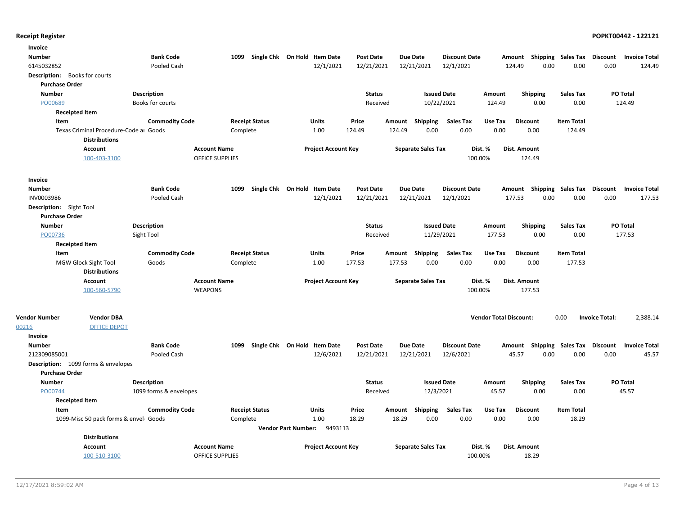| <b>Bank Code</b><br>Due Date<br><b>Number</b><br>1099<br>Single Chk On Hold Item Date<br><b>Post Date</b><br><b>Discount Date</b><br>Amount Shipping Sales Tax<br>Discount<br><b>Invoice Total</b><br>12/1/2021<br>12/21/2021<br>12/1/2021<br>0.00<br>0.00<br>6145032852<br>Pooled Cash<br>12/21/2021<br>124.49<br>0.00<br>124.49<br>Description: Books for courts<br><b>Purchase Order</b><br><b>Number</b><br><b>Description</b><br><b>Status</b><br><b>Issued Date</b><br><b>Shipping</b><br><b>Sales Tax</b><br><b>PO Total</b><br>Amount<br>PO00689<br>10/22/2021<br>0.00<br>0.00<br>124.49<br>Books for courts<br>Received<br>124.49<br><b>Receipted Item</b><br><b>Commodity Code</b><br><b>Receipt Status</b><br><b>Sales Tax</b><br><b>Item Total</b><br>Item<br><b>Units</b><br>Price<br>Amount<br>Shipping<br>Use Tax<br><b>Discount</b><br>0.00<br>Texas Criminal Procedure-Code ar Goods<br>1.00<br>124.49<br>124.49<br>0.00<br>0.00<br>0.00<br>124.49<br>Complete<br><b>Distributions</b><br><b>Account Name</b><br>Dist. %<br>Dist. Amount<br><b>Account</b><br><b>Project Account Key</b><br><b>Separate Sales Tax</b><br>100-403-3100<br><b>OFFICE SUPPLIES</b><br>100.00%<br>124.49<br>Invoice<br>Single Chk On Hold Item Date<br>Due Date<br><b>Number</b><br><b>Bank Code</b><br>1099<br><b>Post Date</b><br><b>Discount Date</b><br>Amount Shipping Sales Tax<br>Discount<br><b>Invoice Total</b><br>12/1/2021<br>12/21/2021<br>12/21/2021<br>12/1/2021<br>0.00<br>0.00<br>0.00<br>INV0003986<br>Pooled Cash<br>177.53<br>177.53<br>Description: Sight Tool<br><b>Purchase Order</b><br><b>Number</b><br><b>Description</b><br><b>Status</b><br><b>Issued Date</b><br>Shipping<br><b>Sales Tax</b><br>PO Total<br>Amount<br>PO00736<br>177.53<br>11/29/2021<br>177.53<br>0.00<br>0.00<br>Sight Tool<br>Received<br><b>Receipted Item</b><br><b>Commodity Code</b><br><b>Receipt Status</b><br>Shipping<br><b>Sales Tax</b><br>Use Tax<br><b>Discount</b><br><b>Item Total</b><br>Item<br><b>Units</b><br>Price<br>Amount<br>MGW Glock Sight Tool<br>1.00<br>177.53<br>177.53<br>0.00<br>0.00<br>0.00<br>0.00<br>177.53<br>Goods<br>Complete<br><b>Distributions</b><br><b>Account Name</b><br><b>Project Account Key</b><br><b>Separate Sales Tax</b><br>Dist. %<br>Account<br>Dist. Amount<br><b>WEAPONS</b><br>100.00%<br>177.53<br>100-560-5790<br><b>Vendor DBA</b><br><b>Vendor Total Discount:</b><br><b>Vendor Number</b><br>0.00<br><b>Invoice Total:</b><br>2,388.14<br><b>OFFICE DEPOT</b><br>00216<br>Invoice<br><b>Number</b><br><b>Bank Code</b><br>1099<br>Single Chk On Hold Item Date<br><b>Post Date</b><br><b>Due Date</b><br><b>Discount Date</b><br>Shipping Sales Tax<br>Discount<br><b>Invoice Total</b><br>Amount<br>12/6/2021<br>12/21/2021<br>12/6/2021<br>0.00<br>0.00<br>45.57<br>212309085001<br>Pooled Cash<br>12/21/2021<br>45.57<br>0.00<br>Description: 1099 forms & envelopes<br><b>Purchase Order</b><br><b>Number</b><br><b>Description</b><br><b>Status</b><br><b>Issued Date</b><br>PO Total<br>Amount<br><b>Shipping</b><br><b>Sales Tax</b><br>12/3/2021<br>0.00<br>0.00<br>45.57<br>PO00744<br>1099 forms & envelopes<br>Received<br>45.57<br><b>Receipted Item</b><br>Item<br><b>Commodity Code</b><br><b>Receipt Status</b><br>Units<br>Price<br>Amount Shipping<br><b>Sales Tax</b><br>Use Tax<br><b>Discount</b><br><b>Item Total</b><br>1.00<br>18.29<br>18.29<br>0.00<br>0.00<br>0.00<br>0.00<br>18.29<br>1099-Misc 50 pack forms & envel Goods<br>Complete<br>Vendor Part Number: 9493113<br><b>Distributions</b><br><b>Account</b><br><b>Account Name</b><br><b>Project Account Key</b><br><b>Separate Sales Tax</b><br>Dist. %<br>Dist. Amount<br>100-510-3100<br><b>OFFICE SUPPLIES</b><br>100.00%<br>18.29 | Invoice |  |  |  |  |  |  |  |  |  |
|------------------------------------------------------------------------------------------------------------------------------------------------------------------------------------------------------------------------------------------------------------------------------------------------------------------------------------------------------------------------------------------------------------------------------------------------------------------------------------------------------------------------------------------------------------------------------------------------------------------------------------------------------------------------------------------------------------------------------------------------------------------------------------------------------------------------------------------------------------------------------------------------------------------------------------------------------------------------------------------------------------------------------------------------------------------------------------------------------------------------------------------------------------------------------------------------------------------------------------------------------------------------------------------------------------------------------------------------------------------------------------------------------------------------------------------------------------------------------------------------------------------------------------------------------------------------------------------------------------------------------------------------------------------------------------------------------------------------------------------------------------------------------------------------------------------------------------------------------------------------------------------------------------------------------------------------------------------------------------------------------------------------------------------------------------------------------------------------------------------------------------------------------------------------------------------------------------------------------------------------------------------------------------------------------------------------------------------------------------------------------------------------------------------------------------------------------------------------------------------------------------------------------------------------------------------------------------------------------------------------------------------------------------------------------------------------------------------------------------------------------------------------------------------------------------------------------------------------------------------------------------------------------------------------------------------------------------------------------------------------------------------------------------------------------------------------------------------------------------------------------------------------------------------------------------------------------------------------------------------------------------------------------------------------------------------------------------------------------------------------------------------------------------------------------------------------------------------------------------------------------------------------------------------------------------------------------------------------------------------------------------------------------------------------------------------------------------------------------------------------------------------------------------|---------|--|--|--|--|--|--|--|--|--|
|                                                                                                                                                                                                                                                                                                                                                                                                                                                                                                                                                                                                                                                                                                                                                                                                                                                                                                                                                                                                                                                                                                                                                                                                                                                                                                                                                                                                                                                                                                                                                                                                                                                                                                                                                                                                                                                                                                                                                                                                                                                                                                                                                                                                                                                                                                                                                                                                                                                                                                                                                                                                                                                                                                                                                                                                                                                                                                                                                                                                                                                                                                                                                                                                                                                                                                                                                                                                                                                                                                                                                                                                                                                                                                                                                                                    |         |  |  |  |  |  |  |  |  |  |
|                                                                                                                                                                                                                                                                                                                                                                                                                                                                                                                                                                                                                                                                                                                                                                                                                                                                                                                                                                                                                                                                                                                                                                                                                                                                                                                                                                                                                                                                                                                                                                                                                                                                                                                                                                                                                                                                                                                                                                                                                                                                                                                                                                                                                                                                                                                                                                                                                                                                                                                                                                                                                                                                                                                                                                                                                                                                                                                                                                                                                                                                                                                                                                                                                                                                                                                                                                                                                                                                                                                                                                                                                                                                                                                                                                                    |         |  |  |  |  |  |  |  |  |  |
|                                                                                                                                                                                                                                                                                                                                                                                                                                                                                                                                                                                                                                                                                                                                                                                                                                                                                                                                                                                                                                                                                                                                                                                                                                                                                                                                                                                                                                                                                                                                                                                                                                                                                                                                                                                                                                                                                                                                                                                                                                                                                                                                                                                                                                                                                                                                                                                                                                                                                                                                                                                                                                                                                                                                                                                                                                                                                                                                                                                                                                                                                                                                                                                                                                                                                                                                                                                                                                                                                                                                                                                                                                                                                                                                                                                    |         |  |  |  |  |  |  |  |  |  |
|                                                                                                                                                                                                                                                                                                                                                                                                                                                                                                                                                                                                                                                                                                                                                                                                                                                                                                                                                                                                                                                                                                                                                                                                                                                                                                                                                                                                                                                                                                                                                                                                                                                                                                                                                                                                                                                                                                                                                                                                                                                                                                                                                                                                                                                                                                                                                                                                                                                                                                                                                                                                                                                                                                                                                                                                                                                                                                                                                                                                                                                                                                                                                                                                                                                                                                                                                                                                                                                                                                                                                                                                                                                                                                                                                                                    |         |  |  |  |  |  |  |  |  |  |
|                                                                                                                                                                                                                                                                                                                                                                                                                                                                                                                                                                                                                                                                                                                                                                                                                                                                                                                                                                                                                                                                                                                                                                                                                                                                                                                                                                                                                                                                                                                                                                                                                                                                                                                                                                                                                                                                                                                                                                                                                                                                                                                                                                                                                                                                                                                                                                                                                                                                                                                                                                                                                                                                                                                                                                                                                                                                                                                                                                                                                                                                                                                                                                                                                                                                                                                                                                                                                                                                                                                                                                                                                                                                                                                                                                                    |         |  |  |  |  |  |  |  |  |  |
|                                                                                                                                                                                                                                                                                                                                                                                                                                                                                                                                                                                                                                                                                                                                                                                                                                                                                                                                                                                                                                                                                                                                                                                                                                                                                                                                                                                                                                                                                                                                                                                                                                                                                                                                                                                                                                                                                                                                                                                                                                                                                                                                                                                                                                                                                                                                                                                                                                                                                                                                                                                                                                                                                                                                                                                                                                                                                                                                                                                                                                                                                                                                                                                                                                                                                                                                                                                                                                                                                                                                                                                                                                                                                                                                                                                    |         |  |  |  |  |  |  |  |  |  |
|                                                                                                                                                                                                                                                                                                                                                                                                                                                                                                                                                                                                                                                                                                                                                                                                                                                                                                                                                                                                                                                                                                                                                                                                                                                                                                                                                                                                                                                                                                                                                                                                                                                                                                                                                                                                                                                                                                                                                                                                                                                                                                                                                                                                                                                                                                                                                                                                                                                                                                                                                                                                                                                                                                                                                                                                                                                                                                                                                                                                                                                                                                                                                                                                                                                                                                                                                                                                                                                                                                                                                                                                                                                                                                                                                                                    |         |  |  |  |  |  |  |  |  |  |
|                                                                                                                                                                                                                                                                                                                                                                                                                                                                                                                                                                                                                                                                                                                                                                                                                                                                                                                                                                                                                                                                                                                                                                                                                                                                                                                                                                                                                                                                                                                                                                                                                                                                                                                                                                                                                                                                                                                                                                                                                                                                                                                                                                                                                                                                                                                                                                                                                                                                                                                                                                                                                                                                                                                                                                                                                                                                                                                                                                                                                                                                                                                                                                                                                                                                                                                                                                                                                                                                                                                                                                                                                                                                                                                                                                                    |         |  |  |  |  |  |  |  |  |  |
|                                                                                                                                                                                                                                                                                                                                                                                                                                                                                                                                                                                                                                                                                                                                                                                                                                                                                                                                                                                                                                                                                                                                                                                                                                                                                                                                                                                                                                                                                                                                                                                                                                                                                                                                                                                                                                                                                                                                                                                                                                                                                                                                                                                                                                                                                                                                                                                                                                                                                                                                                                                                                                                                                                                                                                                                                                                                                                                                                                                                                                                                                                                                                                                                                                                                                                                                                                                                                                                                                                                                                                                                                                                                                                                                                                                    |         |  |  |  |  |  |  |  |  |  |
|                                                                                                                                                                                                                                                                                                                                                                                                                                                                                                                                                                                                                                                                                                                                                                                                                                                                                                                                                                                                                                                                                                                                                                                                                                                                                                                                                                                                                                                                                                                                                                                                                                                                                                                                                                                                                                                                                                                                                                                                                                                                                                                                                                                                                                                                                                                                                                                                                                                                                                                                                                                                                                                                                                                                                                                                                                                                                                                                                                                                                                                                                                                                                                                                                                                                                                                                                                                                                                                                                                                                                                                                                                                                                                                                                                                    |         |  |  |  |  |  |  |  |  |  |
|                                                                                                                                                                                                                                                                                                                                                                                                                                                                                                                                                                                                                                                                                                                                                                                                                                                                                                                                                                                                                                                                                                                                                                                                                                                                                                                                                                                                                                                                                                                                                                                                                                                                                                                                                                                                                                                                                                                                                                                                                                                                                                                                                                                                                                                                                                                                                                                                                                                                                                                                                                                                                                                                                                                                                                                                                                                                                                                                                                                                                                                                                                                                                                                                                                                                                                                                                                                                                                                                                                                                                                                                                                                                                                                                                                                    |         |  |  |  |  |  |  |  |  |  |
|                                                                                                                                                                                                                                                                                                                                                                                                                                                                                                                                                                                                                                                                                                                                                                                                                                                                                                                                                                                                                                                                                                                                                                                                                                                                                                                                                                                                                                                                                                                                                                                                                                                                                                                                                                                                                                                                                                                                                                                                                                                                                                                                                                                                                                                                                                                                                                                                                                                                                                                                                                                                                                                                                                                                                                                                                                                                                                                                                                                                                                                                                                                                                                                                                                                                                                                                                                                                                                                                                                                                                                                                                                                                                                                                                                                    |         |  |  |  |  |  |  |  |  |  |
|                                                                                                                                                                                                                                                                                                                                                                                                                                                                                                                                                                                                                                                                                                                                                                                                                                                                                                                                                                                                                                                                                                                                                                                                                                                                                                                                                                                                                                                                                                                                                                                                                                                                                                                                                                                                                                                                                                                                                                                                                                                                                                                                                                                                                                                                                                                                                                                                                                                                                                                                                                                                                                                                                                                                                                                                                                                                                                                                                                                                                                                                                                                                                                                                                                                                                                                                                                                                                                                                                                                                                                                                                                                                                                                                                                                    |         |  |  |  |  |  |  |  |  |  |
|                                                                                                                                                                                                                                                                                                                                                                                                                                                                                                                                                                                                                                                                                                                                                                                                                                                                                                                                                                                                                                                                                                                                                                                                                                                                                                                                                                                                                                                                                                                                                                                                                                                                                                                                                                                                                                                                                                                                                                                                                                                                                                                                                                                                                                                                                                                                                                                                                                                                                                                                                                                                                                                                                                                                                                                                                                                                                                                                                                                                                                                                                                                                                                                                                                                                                                                                                                                                                                                                                                                                                                                                                                                                                                                                                                                    |         |  |  |  |  |  |  |  |  |  |
|                                                                                                                                                                                                                                                                                                                                                                                                                                                                                                                                                                                                                                                                                                                                                                                                                                                                                                                                                                                                                                                                                                                                                                                                                                                                                                                                                                                                                                                                                                                                                                                                                                                                                                                                                                                                                                                                                                                                                                                                                                                                                                                                                                                                                                                                                                                                                                                                                                                                                                                                                                                                                                                                                                                                                                                                                                                                                                                                                                                                                                                                                                                                                                                                                                                                                                                                                                                                                                                                                                                                                                                                                                                                                                                                                                                    |         |  |  |  |  |  |  |  |  |  |
|                                                                                                                                                                                                                                                                                                                                                                                                                                                                                                                                                                                                                                                                                                                                                                                                                                                                                                                                                                                                                                                                                                                                                                                                                                                                                                                                                                                                                                                                                                                                                                                                                                                                                                                                                                                                                                                                                                                                                                                                                                                                                                                                                                                                                                                                                                                                                                                                                                                                                                                                                                                                                                                                                                                                                                                                                                                                                                                                                                                                                                                                                                                                                                                                                                                                                                                                                                                                                                                                                                                                                                                                                                                                                                                                                                                    |         |  |  |  |  |  |  |  |  |  |
|                                                                                                                                                                                                                                                                                                                                                                                                                                                                                                                                                                                                                                                                                                                                                                                                                                                                                                                                                                                                                                                                                                                                                                                                                                                                                                                                                                                                                                                                                                                                                                                                                                                                                                                                                                                                                                                                                                                                                                                                                                                                                                                                                                                                                                                                                                                                                                                                                                                                                                                                                                                                                                                                                                                                                                                                                                                                                                                                                                                                                                                                                                                                                                                                                                                                                                                                                                                                                                                                                                                                                                                                                                                                                                                                                                                    |         |  |  |  |  |  |  |  |  |  |
|                                                                                                                                                                                                                                                                                                                                                                                                                                                                                                                                                                                                                                                                                                                                                                                                                                                                                                                                                                                                                                                                                                                                                                                                                                                                                                                                                                                                                                                                                                                                                                                                                                                                                                                                                                                                                                                                                                                                                                                                                                                                                                                                                                                                                                                                                                                                                                                                                                                                                                                                                                                                                                                                                                                                                                                                                                                                                                                                                                                                                                                                                                                                                                                                                                                                                                                                                                                                                                                                                                                                                                                                                                                                                                                                                                                    |         |  |  |  |  |  |  |  |  |  |
|                                                                                                                                                                                                                                                                                                                                                                                                                                                                                                                                                                                                                                                                                                                                                                                                                                                                                                                                                                                                                                                                                                                                                                                                                                                                                                                                                                                                                                                                                                                                                                                                                                                                                                                                                                                                                                                                                                                                                                                                                                                                                                                                                                                                                                                                                                                                                                                                                                                                                                                                                                                                                                                                                                                                                                                                                                                                                                                                                                                                                                                                                                                                                                                                                                                                                                                                                                                                                                                                                                                                                                                                                                                                                                                                                                                    |         |  |  |  |  |  |  |  |  |  |
|                                                                                                                                                                                                                                                                                                                                                                                                                                                                                                                                                                                                                                                                                                                                                                                                                                                                                                                                                                                                                                                                                                                                                                                                                                                                                                                                                                                                                                                                                                                                                                                                                                                                                                                                                                                                                                                                                                                                                                                                                                                                                                                                                                                                                                                                                                                                                                                                                                                                                                                                                                                                                                                                                                                                                                                                                                                                                                                                                                                                                                                                                                                                                                                                                                                                                                                                                                                                                                                                                                                                                                                                                                                                                                                                                                                    |         |  |  |  |  |  |  |  |  |  |
|                                                                                                                                                                                                                                                                                                                                                                                                                                                                                                                                                                                                                                                                                                                                                                                                                                                                                                                                                                                                                                                                                                                                                                                                                                                                                                                                                                                                                                                                                                                                                                                                                                                                                                                                                                                                                                                                                                                                                                                                                                                                                                                                                                                                                                                                                                                                                                                                                                                                                                                                                                                                                                                                                                                                                                                                                                                                                                                                                                                                                                                                                                                                                                                                                                                                                                                                                                                                                                                                                                                                                                                                                                                                                                                                                                                    |         |  |  |  |  |  |  |  |  |  |
|                                                                                                                                                                                                                                                                                                                                                                                                                                                                                                                                                                                                                                                                                                                                                                                                                                                                                                                                                                                                                                                                                                                                                                                                                                                                                                                                                                                                                                                                                                                                                                                                                                                                                                                                                                                                                                                                                                                                                                                                                                                                                                                                                                                                                                                                                                                                                                                                                                                                                                                                                                                                                                                                                                                                                                                                                                                                                                                                                                                                                                                                                                                                                                                                                                                                                                                                                                                                                                                                                                                                                                                                                                                                                                                                                                                    |         |  |  |  |  |  |  |  |  |  |
|                                                                                                                                                                                                                                                                                                                                                                                                                                                                                                                                                                                                                                                                                                                                                                                                                                                                                                                                                                                                                                                                                                                                                                                                                                                                                                                                                                                                                                                                                                                                                                                                                                                                                                                                                                                                                                                                                                                                                                                                                                                                                                                                                                                                                                                                                                                                                                                                                                                                                                                                                                                                                                                                                                                                                                                                                                                                                                                                                                                                                                                                                                                                                                                                                                                                                                                                                                                                                                                                                                                                                                                                                                                                                                                                                                                    |         |  |  |  |  |  |  |  |  |  |
|                                                                                                                                                                                                                                                                                                                                                                                                                                                                                                                                                                                                                                                                                                                                                                                                                                                                                                                                                                                                                                                                                                                                                                                                                                                                                                                                                                                                                                                                                                                                                                                                                                                                                                                                                                                                                                                                                                                                                                                                                                                                                                                                                                                                                                                                                                                                                                                                                                                                                                                                                                                                                                                                                                                                                                                                                                                                                                                                                                                                                                                                                                                                                                                                                                                                                                                                                                                                                                                                                                                                                                                                                                                                                                                                                                                    |         |  |  |  |  |  |  |  |  |  |
|                                                                                                                                                                                                                                                                                                                                                                                                                                                                                                                                                                                                                                                                                                                                                                                                                                                                                                                                                                                                                                                                                                                                                                                                                                                                                                                                                                                                                                                                                                                                                                                                                                                                                                                                                                                                                                                                                                                                                                                                                                                                                                                                                                                                                                                                                                                                                                                                                                                                                                                                                                                                                                                                                                                                                                                                                                                                                                                                                                                                                                                                                                                                                                                                                                                                                                                                                                                                                                                                                                                                                                                                                                                                                                                                                                                    |         |  |  |  |  |  |  |  |  |  |
|                                                                                                                                                                                                                                                                                                                                                                                                                                                                                                                                                                                                                                                                                                                                                                                                                                                                                                                                                                                                                                                                                                                                                                                                                                                                                                                                                                                                                                                                                                                                                                                                                                                                                                                                                                                                                                                                                                                                                                                                                                                                                                                                                                                                                                                                                                                                                                                                                                                                                                                                                                                                                                                                                                                                                                                                                                                                                                                                                                                                                                                                                                                                                                                                                                                                                                                                                                                                                                                                                                                                                                                                                                                                                                                                                                                    |         |  |  |  |  |  |  |  |  |  |
|                                                                                                                                                                                                                                                                                                                                                                                                                                                                                                                                                                                                                                                                                                                                                                                                                                                                                                                                                                                                                                                                                                                                                                                                                                                                                                                                                                                                                                                                                                                                                                                                                                                                                                                                                                                                                                                                                                                                                                                                                                                                                                                                                                                                                                                                                                                                                                                                                                                                                                                                                                                                                                                                                                                                                                                                                                                                                                                                                                                                                                                                                                                                                                                                                                                                                                                                                                                                                                                                                                                                                                                                                                                                                                                                                                                    |         |  |  |  |  |  |  |  |  |  |
|                                                                                                                                                                                                                                                                                                                                                                                                                                                                                                                                                                                                                                                                                                                                                                                                                                                                                                                                                                                                                                                                                                                                                                                                                                                                                                                                                                                                                                                                                                                                                                                                                                                                                                                                                                                                                                                                                                                                                                                                                                                                                                                                                                                                                                                                                                                                                                                                                                                                                                                                                                                                                                                                                                                                                                                                                                                                                                                                                                                                                                                                                                                                                                                                                                                                                                                                                                                                                                                                                                                                                                                                                                                                                                                                                                                    |         |  |  |  |  |  |  |  |  |  |
|                                                                                                                                                                                                                                                                                                                                                                                                                                                                                                                                                                                                                                                                                                                                                                                                                                                                                                                                                                                                                                                                                                                                                                                                                                                                                                                                                                                                                                                                                                                                                                                                                                                                                                                                                                                                                                                                                                                                                                                                                                                                                                                                                                                                                                                                                                                                                                                                                                                                                                                                                                                                                                                                                                                                                                                                                                                                                                                                                                                                                                                                                                                                                                                                                                                                                                                                                                                                                                                                                                                                                                                                                                                                                                                                                                                    |         |  |  |  |  |  |  |  |  |  |
|                                                                                                                                                                                                                                                                                                                                                                                                                                                                                                                                                                                                                                                                                                                                                                                                                                                                                                                                                                                                                                                                                                                                                                                                                                                                                                                                                                                                                                                                                                                                                                                                                                                                                                                                                                                                                                                                                                                                                                                                                                                                                                                                                                                                                                                                                                                                                                                                                                                                                                                                                                                                                                                                                                                                                                                                                                                                                                                                                                                                                                                                                                                                                                                                                                                                                                                                                                                                                                                                                                                                                                                                                                                                                                                                                                                    |         |  |  |  |  |  |  |  |  |  |
|                                                                                                                                                                                                                                                                                                                                                                                                                                                                                                                                                                                                                                                                                                                                                                                                                                                                                                                                                                                                                                                                                                                                                                                                                                                                                                                                                                                                                                                                                                                                                                                                                                                                                                                                                                                                                                                                                                                                                                                                                                                                                                                                                                                                                                                                                                                                                                                                                                                                                                                                                                                                                                                                                                                                                                                                                                                                                                                                                                                                                                                                                                                                                                                                                                                                                                                                                                                                                                                                                                                                                                                                                                                                                                                                                                                    |         |  |  |  |  |  |  |  |  |  |
|                                                                                                                                                                                                                                                                                                                                                                                                                                                                                                                                                                                                                                                                                                                                                                                                                                                                                                                                                                                                                                                                                                                                                                                                                                                                                                                                                                                                                                                                                                                                                                                                                                                                                                                                                                                                                                                                                                                                                                                                                                                                                                                                                                                                                                                                                                                                                                                                                                                                                                                                                                                                                                                                                                                                                                                                                                                                                                                                                                                                                                                                                                                                                                                                                                                                                                                                                                                                                                                                                                                                                                                                                                                                                                                                                                                    |         |  |  |  |  |  |  |  |  |  |
|                                                                                                                                                                                                                                                                                                                                                                                                                                                                                                                                                                                                                                                                                                                                                                                                                                                                                                                                                                                                                                                                                                                                                                                                                                                                                                                                                                                                                                                                                                                                                                                                                                                                                                                                                                                                                                                                                                                                                                                                                                                                                                                                                                                                                                                                                                                                                                                                                                                                                                                                                                                                                                                                                                                                                                                                                                                                                                                                                                                                                                                                                                                                                                                                                                                                                                                                                                                                                                                                                                                                                                                                                                                                                                                                                                                    |         |  |  |  |  |  |  |  |  |  |
|                                                                                                                                                                                                                                                                                                                                                                                                                                                                                                                                                                                                                                                                                                                                                                                                                                                                                                                                                                                                                                                                                                                                                                                                                                                                                                                                                                                                                                                                                                                                                                                                                                                                                                                                                                                                                                                                                                                                                                                                                                                                                                                                                                                                                                                                                                                                                                                                                                                                                                                                                                                                                                                                                                                                                                                                                                                                                                                                                                                                                                                                                                                                                                                                                                                                                                                                                                                                                                                                                                                                                                                                                                                                                                                                                                                    |         |  |  |  |  |  |  |  |  |  |
|                                                                                                                                                                                                                                                                                                                                                                                                                                                                                                                                                                                                                                                                                                                                                                                                                                                                                                                                                                                                                                                                                                                                                                                                                                                                                                                                                                                                                                                                                                                                                                                                                                                                                                                                                                                                                                                                                                                                                                                                                                                                                                                                                                                                                                                                                                                                                                                                                                                                                                                                                                                                                                                                                                                                                                                                                                                                                                                                                                                                                                                                                                                                                                                                                                                                                                                                                                                                                                                                                                                                                                                                                                                                                                                                                                                    |         |  |  |  |  |  |  |  |  |  |
|                                                                                                                                                                                                                                                                                                                                                                                                                                                                                                                                                                                                                                                                                                                                                                                                                                                                                                                                                                                                                                                                                                                                                                                                                                                                                                                                                                                                                                                                                                                                                                                                                                                                                                                                                                                                                                                                                                                                                                                                                                                                                                                                                                                                                                                                                                                                                                                                                                                                                                                                                                                                                                                                                                                                                                                                                                                                                                                                                                                                                                                                                                                                                                                                                                                                                                                                                                                                                                                                                                                                                                                                                                                                                                                                                                                    |         |  |  |  |  |  |  |  |  |  |
|                                                                                                                                                                                                                                                                                                                                                                                                                                                                                                                                                                                                                                                                                                                                                                                                                                                                                                                                                                                                                                                                                                                                                                                                                                                                                                                                                                                                                                                                                                                                                                                                                                                                                                                                                                                                                                                                                                                                                                                                                                                                                                                                                                                                                                                                                                                                                                                                                                                                                                                                                                                                                                                                                                                                                                                                                                                                                                                                                                                                                                                                                                                                                                                                                                                                                                                                                                                                                                                                                                                                                                                                                                                                                                                                                                                    |         |  |  |  |  |  |  |  |  |  |
|                                                                                                                                                                                                                                                                                                                                                                                                                                                                                                                                                                                                                                                                                                                                                                                                                                                                                                                                                                                                                                                                                                                                                                                                                                                                                                                                                                                                                                                                                                                                                                                                                                                                                                                                                                                                                                                                                                                                                                                                                                                                                                                                                                                                                                                                                                                                                                                                                                                                                                                                                                                                                                                                                                                                                                                                                                                                                                                                                                                                                                                                                                                                                                                                                                                                                                                                                                                                                                                                                                                                                                                                                                                                                                                                                                                    |         |  |  |  |  |  |  |  |  |  |
|                                                                                                                                                                                                                                                                                                                                                                                                                                                                                                                                                                                                                                                                                                                                                                                                                                                                                                                                                                                                                                                                                                                                                                                                                                                                                                                                                                                                                                                                                                                                                                                                                                                                                                                                                                                                                                                                                                                                                                                                                                                                                                                                                                                                                                                                                                                                                                                                                                                                                                                                                                                                                                                                                                                                                                                                                                                                                                                                                                                                                                                                                                                                                                                                                                                                                                                                                                                                                                                                                                                                                                                                                                                                                                                                                                                    |         |  |  |  |  |  |  |  |  |  |
|                                                                                                                                                                                                                                                                                                                                                                                                                                                                                                                                                                                                                                                                                                                                                                                                                                                                                                                                                                                                                                                                                                                                                                                                                                                                                                                                                                                                                                                                                                                                                                                                                                                                                                                                                                                                                                                                                                                                                                                                                                                                                                                                                                                                                                                                                                                                                                                                                                                                                                                                                                                                                                                                                                                                                                                                                                                                                                                                                                                                                                                                                                                                                                                                                                                                                                                                                                                                                                                                                                                                                                                                                                                                                                                                                                                    |         |  |  |  |  |  |  |  |  |  |
|                                                                                                                                                                                                                                                                                                                                                                                                                                                                                                                                                                                                                                                                                                                                                                                                                                                                                                                                                                                                                                                                                                                                                                                                                                                                                                                                                                                                                                                                                                                                                                                                                                                                                                                                                                                                                                                                                                                                                                                                                                                                                                                                                                                                                                                                                                                                                                                                                                                                                                                                                                                                                                                                                                                                                                                                                                                                                                                                                                                                                                                                                                                                                                                                                                                                                                                                                                                                                                                                                                                                                                                                                                                                                                                                                                                    |         |  |  |  |  |  |  |  |  |  |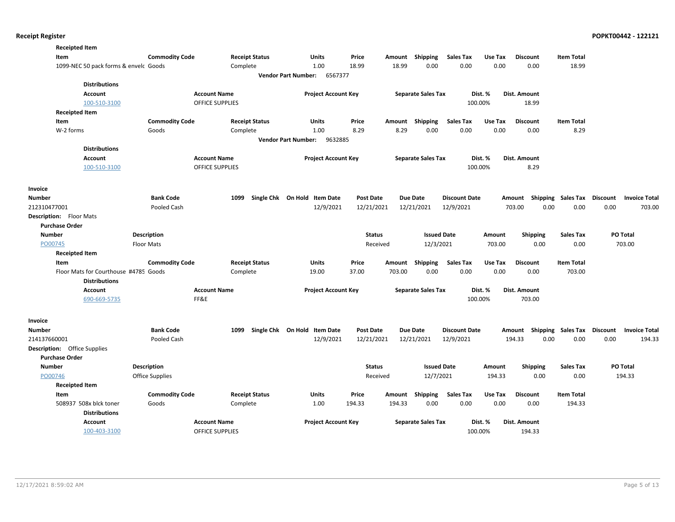| <b>Receipted Item</b>                  |                        |                                               |                                       |                  |        |                           |                      |                  |                                    |                   |                      |
|----------------------------------------|------------------------|-----------------------------------------------|---------------------------------------|------------------|--------|---------------------------|----------------------|------------------|------------------------------------|-------------------|----------------------|
| Item                                   | <b>Commodity Code</b>  | <b>Receipt Status</b>                         | Units                                 | Price            | Amount | Shipping                  | <b>Sales Tax</b>     | Use Tax          | <b>Discount</b>                    | <b>Item Total</b> |                      |
| 1099-NEC 50 pack forms & envelc Goods  |                        | Complete                                      | 1.00                                  | 18.99            | 18.99  | 0.00                      | 0.00                 | 0.00             | 0.00                               | 18.99             |                      |
|                                        |                        |                                               | <b>Vendor Part Number:</b><br>6567377 |                  |        |                           |                      |                  |                                    |                   |                      |
| <b>Distributions</b>                   |                        |                                               |                                       |                  |        |                           |                      |                  |                                    |                   |                      |
| Account                                |                        | <b>Account Name</b>                           | <b>Project Account Key</b>            |                  |        | <b>Separate Sales Tax</b> |                      | Dist. %          | Dist. Amount                       |                   |                      |
| 100-510-3100                           |                        | <b>OFFICE SUPPLIES</b>                        |                                       |                  |        |                           | 100.00%              |                  | 18.99                              |                   |                      |
| <b>Receipted Item</b>                  |                        |                                               |                                       |                  |        |                           |                      |                  |                                    |                   |                      |
| Item                                   | <b>Commodity Code</b>  | <b>Receipt Status</b>                         | Units                                 | Price            | Amount | Shipping                  | <b>Sales Tax</b>     | Use Tax          | <b>Discount</b>                    | <b>Item Total</b> |                      |
| W-2 forms                              | Goods                  | Complete                                      | 1.00                                  | 8.29             | 8.29   | 0.00                      | 0.00                 | 0.00             | 0.00                               | 8.29              |                      |
|                                        |                        |                                               | 9632885<br><b>Vendor Part Number:</b> |                  |        |                           |                      |                  |                                    |                   |                      |
| <b>Distributions</b>                   |                        |                                               |                                       |                  |        |                           |                      |                  |                                    |                   |                      |
| Account<br>100-510-3100                |                        | <b>Account Name</b><br><b>OFFICE SUPPLIES</b> | <b>Project Account Key</b>            |                  |        | <b>Separate Sales Tax</b> | 100.00%              | Dist. %          | Dist. Amount<br>8.29               |                   |                      |
|                                        |                        |                                               |                                       |                  |        |                           |                      |                  |                                    |                   |                      |
|                                        |                        |                                               |                                       |                  |        |                           |                      |                  |                                    |                   |                      |
| Invoice<br><b>Number</b>               | <b>Bank Code</b>       | 1099                                          | Single Chk On Hold Item Date          | <b>Post Date</b> |        | <b>Due Date</b>           | <b>Discount Date</b> |                  | Amount Shipping Sales Tax Discount |                   | <b>Invoice Total</b> |
| 212310477001                           | Pooled Cash            |                                               | 12/9/2021                             | 12/21/2021       |        | 12/21/2021                | 12/9/2021            |                  | 703.00<br>0.00                     | 0.00              | 0.00<br>703.00       |
| <b>Description:</b> Floor Mats         |                        |                                               |                                       |                  |        |                           |                      |                  |                                    |                   |                      |
| <b>Purchase Order</b>                  |                        |                                               |                                       |                  |        |                           |                      |                  |                                    |                   |                      |
| <b>Number</b>                          | <b>Description</b>     |                                               |                                       | <b>Status</b>    |        | <b>Issued Date</b>        |                      | Amount           | <b>Shipping</b>                    | <b>Sales Tax</b>  | PO Total             |
| PO00745                                | <b>Floor Mats</b>      |                                               |                                       | Received         |        | 12/3/2021                 |                      | 703.00           | 0.00                               | 0.00              | 703.00               |
| <b>Receipted Item</b>                  |                        |                                               |                                       |                  |        |                           |                      |                  |                                    |                   |                      |
| Item                                   | <b>Commodity Code</b>  | <b>Receipt Status</b>                         | Units                                 | Price            | Amount | <b>Shipping</b>           | Sales Tax            | Use Tax          | <b>Discount</b>                    | <b>Item Total</b> |                      |
| Floor Mats for Courthouse #4785 Goods  |                        | Complete                                      | 19.00                                 | 37.00            | 703.00 | 0.00                      | 0.00                 | 0.00             | 0.00                               | 703.00            |                      |
| <b>Distributions</b>                   |                        |                                               |                                       |                  |        |                           |                      |                  |                                    |                   |                      |
| Account                                |                        | <b>Account Name</b>                           | <b>Project Account Key</b>            |                  |        | <b>Separate Sales Tax</b> |                      | Dist. %          | Dist. Amount                       |                   |                      |
| 690-669-5735                           | FF&E                   |                                               |                                       |                  |        |                           | 100.00%              |                  | 703.00                             |                   |                      |
|                                        |                        |                                               |                                       |                  |        |                           |                      |                  |                                    |                   |                      |
| Invoice                                |                        |                                               |                                       |                  |        |                           |                      |                  |                                    |                   |                      |
| <b>Number</b>                          | <b>Bank Code</b>       | 1099                                          | Single Chk On Hold Item Date          | <b>Post Date</b> |        | <b>Due Date</b>           | <b>Discount Date</b> |                  | Amount Shipping Sales Tax Discount |                   | <b>Invoice Total</b> |
| 214137660001                           | Pooled Cash            |                                               | 12/9/2021                             | 12/21/2021       |        | 12/21/2021                | 12/9/2021            |                  | 194.33<br>0.00                     | 0.00              | 0.00<br>194.33       |
| <b>Description:</b> Office Supplies    |                        |                                               |                                       |                  |        |                           |                      |                  |                                    |                   |                      |
| <b>Purchase Order</b><br><b>Number</b> |                        |                                               |                                       | <b>Status</b>    |        | <b>Issued Date</b>        |                      |                  |                                    |                   | <b>PO Total</b>      |
| PO00746                                | <b>Description</b>     |                                               |                                       |                  |        | 12/7/2021                 |                      | Amount<br>194.33 | <b>Shipping</b><br>0.00            | Sales Tax<br>0.00 | 194.33               |
| <b>Receipted Item</b>                  | <b>Office Supplies</b> |                                               |                                       | Received         |        |                           |                      |                  |                                    |                   |                      |
| Item                                   | <b>Commodity Code</b>  | <b>Receipt Status</b>                         | Units                                 | Price            | Amount | <b>Shipping</b>           | <b>Sales Tax</b>     | Use Tax          | <b>Discount</b>                    | <b>Item Total</b> |                      |
| 508937 508x blck toner                 | Goods                  | Complete                                      | 1.00                                  | 194.33           | 194.33 | 0.00                      | 0.00                 | 0.00             | 0.00                               | 194.33            |                      |
| <b>Distributions</b>                   |                        |                                               |                                       |                  |        |                           |                      |                  |                                    |                   |                      |
| Account                                |                        | <b>Account Name</b>                           | <b>Project Account Key</b>            |                  |        | <b>Separate Sales Tax</b> |                      | Dist. %          | Dist. Amount                       |                   |                      |
| 100-403-3100                           |                        | <b>OFFICE SUPPLIES</b>                        |                                       |                  |        |                           | 100.00%              |                  | 194.33                             |                   |                      |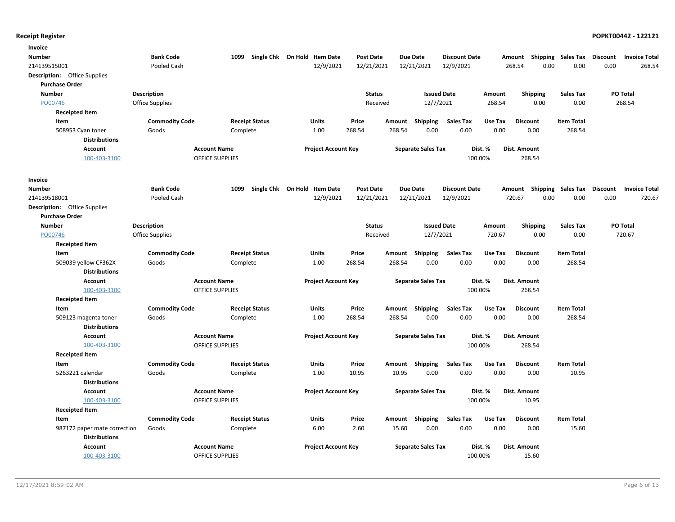| Number<br><b>Bank Code</b><br>1099<br>Single Chk On Hold Item Date<br><b>Post Date</b><br><b>Due Date</b><br><b>Discount Date</b><br>Amount Shipping Sales Tax<br>Discount<br><b>Invoice Total</b><br>12/9/2021<br>12/21/2021<br>12/21/2021<br>12/9/2021<br>0.00<br>0.00<br>0.00<br>268.54<br>Pooled Cash<br>268.54<br><b>Description:</b> Office Supplies<br><b>Purchase Order</b><br><b>Description</b><br><b>Status</b><br><b>Issued Date</b><br><b>Shipping</b><br>PO Total<br><b>Number</b><br>Amount<br><b>Sales Tax</b><br>12/7/2021<br>PO00746<br><b>Office Supplies</b><br>268.54<br>0.00<br>0.00<br>268.54<br>Received<br><b>Receipted Item</b><br>Item<br><b>Commodity Code</b><br><b>Receipt Status</b><br><b>Units</b><br>Price<br>Shipping<br><b>Sales Tax</b><br>Use Tax<br><b>Item Total</b><br>Amount<br><b>Discount</b><br>0.00<br>0.00<br>0.00<br>1.00<br>268.54<br>268.54<br>0.00<br>268.54<br>508953 Cyan toner<br>Goods<br>Complete<br><b>Distributions</b><br><b>Account</b><br><b>Account Name</b><br><b>Project Account Key</b><br><b>Separate Sales Tax</b><br>Dist. %<br>Dist. Amount<br>100-403-3100<br><b>OFFICE SUPPLIES</b><br>100.00%<br>268.54<br>Invoice<br><b>Bank Code</b><br>Single Chk On Hold Item Date<br><b>Post Date</b><br><b>Due Date</b><br><b>Discount Date</b><br>Amount Shipping Sales Tax Discount<br>Number<br>1099<br><b>Invoice Total</b><br>0.00<br>Pooled Cash<br>12/9/2021<br>12/21/2021<br>12/21/2021<br>12/9/2021<br>720.67<br>0.00<br>0.00<br>720.67<br>Description: Office Supplies<br><b>Purchase Order</b><br><b>Number</b><br>Description<br><b>Status</b><br><b>Issued Date</b><br><b>Shipping</b><br><b>Sales Tax</b><br>PO Total<br>Amount<br>PO00746<br>12/7/2021<br>0.00<br>720.67<br>Office Supplies<br>Received<br>720.67<br>0.00<br><b>Receipted Item</b><br><b>Commodity Code</b><br><b>Sales Tax</b><br><b>Item Total</b><br>Item<br><b>Receipt Status</b><br>Units<br>Price<br>Amount Shipping<br>Use Tax<br><b>Discount</b><br>1.00<br>268.54<br>268.54<br>0.00<br>0.00<br>0.00<br>0.00<br>268.54<br>509039 yellow CF362X<br>Goods<br>Complete<br><b>Distributions</b><br><b>Account Name</b><br><b>Project Account Key</b><br><b>Separate Sales Tax</b><br>Dist. %<br>Dist. Amount<br><b>Account</b><br>100-403-3100<br><b>OFFICE SUPPLIES</b><br>100.00%<br>268.54<br><b>Receipted Item</b><br><b>Commodity Code</b><br><b>Receipt Status</b><br>Units<br>Price<br>Amount Shipping<br><b>Sales Tax</b><br>Use Tax<br><b>Discount</b><br><b>Item Total</b><br>Item<br>1.00<br>268.54<br>268.54<br>0.00<br>0.00<br>0.00<br>268.54<br>509123 magenta toner<br>Goods<br>Complete<br>0.00<br><b>Distributions</b><br><b>Account</b><br><b>Account Name</b><br><b>Project Account Key</b><br><b>Separate Sales Tax</b><br>Dist. %<br>Dist. Amount<br>100-403-3100<br><b>OFFICE SUPPLIES</b><br>100.00%<br>268.54<br><b>Receipted Item</b><br><b>Commodity Code</b><br><b>Receipt Status</b><br>Amount Shipping<br><b>Sales Tax</b><br>Use Tax<br><b>Item Total</b><br>Item<br>Units<br>Price<br><b>Discount</b><br>5263221 calendar<br>Goods<br>Complete<br>1.00<br>10.95<br>10.95<br>0.00<br>0.00<br>0.00<br>0.00<br>10.95<br><b>Distributions</b><br>Dist. %<br><b>Account</b><br><b>Account Name</b><br><b>Project Account Key</b><br><b>Separate Sales Tax</b><br>Dist. Amount<br>100-403-3100<br>OFFICE SUPPLIES<br>100.00%<br>10.95<br><b>Receipted Item</b><br>Item<br><b>Commodity Code</b><br><b>Receipt Status</b><br>Units<br>Price<br>Amount Shipping<br><b>Sales Tax</b><br>Use Tax<br><b>Discount</b><br><b>Item Total</b><br>0.00<br>6.00<br>2.60<br>15.60<br>0.00<br>0.00<br>0.00<br>15.60<br>987172 paper mate correction<br>Goods<br>Complete<br><b>Distributions</b><br><b>Project Account Key</b><br><b>Account</b><br><b>Account Name</b><br><b>Separate Sales Tax</b><br>Dist. %<br>Dist. Amount<br>100-403-3100<br><b>OFFICE SUPPLIES</b><br>100.00%<br>15.60 | Invoice      |  |  |  |  |  |  |  |
|------------------------------------------------------------------------------------------------------------------------------------------------------------------------------------------------------------------------------------------------------------------------------------------------------------------------------------------------------------------------------------------------------------------------------------------------------------------------------------------------------------------------------------------------------------------------------------------------------------------------------------------------------------------------------------------------------------------------------------------------------------------------------------------------------------------------------------------------------------------------------------------------------------------------------------------------------------------------------------------------------------------------------------------------------------------------------------------------------------------------------------------------------------------------------------------------------------------------------------------------------------------------------------------------------------------------------------------------------------------------------------------------------------------------------------------------------------------------------------------------------------------------------------------------------------------------------------------------------------------------------------------------------------------------------------------------------------------------------------------------------------------------------------------------------------------------------------------------------------------------------------------------------------------------------------------------------------------------------------------------------------------------------------------------------------------------------------------------------------------------------------------------------------------------------------------------------------------------------------------------------------------------------------------------------------------------------------------------------------------------------------------------------------------------------------------------------------------------------------------------------------------------------------------------------------------------------------------------------------------------------------------------------------------------------------------------------------------------------------------------------------------------------------------------------------------------------------------------------------------------------------------------------------------------------------------------------------------------------------------------------------------------------------------------------------------------------------------------------------------------------------------------------------------------------------------------------------------------------------------------------------------------------------------------------------------------------------------------------------------------------------------------------------------------------------------------------------------------------------------------------------------------------------------------------------------------------------------------------------------------------------------------------------------------------------------------------------------------------------------------------------------------------------------------------------------------------------------------------------------------------------------------------------------------------------------------------------|--------------|--|--|--|--|--|--|--|
|                                                                                                                                                                                                                                                                                                                                                                                                                                                                                                                                                                                                                                                                                                                                                                                                                                                                                                                                                                                                                                                                                                                                                                                                                                                                                                                                                                                                                                                                                                                                                                                                                                                                                                                                                                                                                                                                                                                                                                                                                                                                                                                                                                                                                                                                                                                                                                                                                                                                                                                                                                                                                                                                                                                                                                                                                                                                                                                                                                                                                                                                                                                                                                                                                                                                                                                                                                                                                                                                                                                                                                                                                                                                                                                                                                                                                                                                                                                                                            |              |  |  |  |  |  |  |  |
|                                                                                                                                                                                                                                                                                                                                                                                                                                                                                                                                                                                                                                                                                                                                                                                                                                                                                                                                                                                                                                                                                                                                                                                                                                                                                                                                                                                                                                                                                                                                                                                                                                                                                                                                                                                                                                                                                                                                                                                                                                                                                                                                                                                                                                                                                                                                                                                                                                                                                                                                                                                                                                                                                                                                                                                                                                                                                                                                                                                                                                                                                                                                                                                                                                                                                                                                                                                                                                                                                                                                                                                                                                                                                                                                                                                                                                                                                                                                                            | 214139515001 |  |  |  |  |  |  |  |
|                                                                                                                                                                                                                                                                                                                                                                                                                                                                                                                                                                                                                                                                                                                                                                                                                                                                                                                                                                                                                                                                                                                                                                                                                                                                                                                                                                                                                                                                                                                                                                                                                                                                                                                                                                                                                                                                                                                                                                                                                                                                                                                                                                                                                                                                                                                                                                                                                                                                                                                                                                                                                                                                                                                                                                                                                                                                                                                                                                                                                                                                                                                                                                                                                                                                                                                                                                                                                                                                                                                                                                                                                                                                                                                                                                                                                                                                                                                                                            |              |  |  |  |  |  |  |  |
|                                                                                                                                                                                                                                                                                                                                                                                                                                                                                                                                                                                                                                                                                                                                                                                                                                                                                                                                                                                                                                                                                                                                                                                                                                                                                                                                                                                                                                                                                                                                                                                                                                                                                                                                                                                                                                                                                                                                                                                                                                                                                                                                                                                                                                                                                                                                                                                                                                                                                                                                                                                                                                                                                                                                                                                                                                                                                                                                                                                                                                                                                                                                                                                                                                                                                                                                                                                                                                                                                                                                                                                                                                                                                                                                                                                                                                                                                                                                                            |              |  |  |  |  |  |  |  |
|                                                                                                                                                                                                                                                                                                                                                                                                                                                                                                                                                                                                                                                                                                                                                                                                                                                                                                                                                                                                                                                                                                                                                                                                                                                                                                                                                                                                                                                                                                                                                                                                                                                                                                                                                                                                                                                                                                                                                                                                                                                                                                                                                                                                                                                                                                                                                                                                                                                                                                                                                                                                                                                                                                                                                                                                                                                                                                                                                                                                                                                                                                                                                                                                                                                                                                                                                                                                                                                                                                                                                                                                                                                                                                                                                                                                                                                                                                                                                            |              |  |  |  |  |  |  |  |
|                                                                                                                                                                                                                                                                                                                                                                                                                                                                                                                                                                                                                                                                                                                                                                                                                                                                                                                                                                                                                                                                                                                                                                                                                                                                                                                                                                                                                                                                                                                                                                                                                                                                                                                                                                                                                                                                                                                                                                                                                                                                                                                                                                                                                                                                                                                                                                                                                                                                                                                                                                                                                                                                                                                                                                                                                                                                                                                                                                                                                                                                                                                                                                                                                                                                                                                                                                                                                                                                                                                                                                                                                                                                                                                                                                                                                                                                                                                                                            |              |  |  |  |  |  |  |  |
|                                                                                                                                                                                                                                                                                                                                                                                                                                                                                                                                                                                                                                                                                                                                                                                                                                                                                                                                                                                                                                                                                                                                                                                                                                                                                                                                                                                                                                                                                                                                                                                                                                                                                                                                                                                                                                                                                                                                                                                                                                                                                                                                                                                                                                                                                                                                                                                                                                                                                                                                                                                                                                                                                                                                                                                                                                                                                                                                                                                                                                                                                                                                                                                                                                                                                                                                                                                                                                                                                                                                                                                                                                                                                                                                                                                                                                                                                                                                                            |              |  |  |  |  |  |  |  |
|                                                                                                                                                                                                                                                                                                                                                                                                                                                                                                                                                                                                                                                                                                                                                                                                                                                                                                                                                                                                                                                                                                                                                                                                                                                                                                                                                                                                                                                                                                                                                                                                                                                                                                                                                                                                                                                                                                                                                                                                                                                                                                                                                                                                                                                                                                                                                                                                                                                                                                                                                                                                                                                                                                                                                                                                                                                                                                                                                                                                                                                                                                                                                                                                                                                                                                                                                                                                                                                                                                                                                                                                                                                                                                                                                                                                                                                                                                                                                            |              |  |  |  |  |  |  |  |
|                                                                                                                                                                                                                                                                                                                                                                                                                                                                                                                                                                                                                                                                                                                                                                                                                                                                                                                                                                                                                                                                                                                                                                                                                                                                                                                                                                                                                                                                                                                                                                                                                                                                                                                                                                                                                                                                                                                                                                                                                                                                                                                                                                                                                                                                                                                                                                                                                                                                                                                                                                                                                                                                                                                                                                                                                                                                                                                                                                                                                                                                                                                                                                                                                                                                                                                                                                                                                                                                                                                                                                                                                                                                                                                                                                                                                                                                                                                                                            |              |  |  |  |  |  |  |  |
|                                                                                                                                                                                                                                                                                                                                                                                                                                                                                                                                                                                                                                                                                                                                                                                                                                                                                                                                                                                                                                                                                                                                                                                                                                                                                                                                                                                                                                                                                                                                                                                                                                                                                                                                                                                                                                                                                                                                                                                                                                                                                                                                                                                                                                                                                                                                                                                                                                                                                                                                                                                                                                                                                                                                                                                                                                                                                                                                                                                                                                                                                                                                                                                                                                                                                                                                                                                                                                                                                                                                                                                                                                                                                                                                                                                                                                                                                                                                                            |              |  |  |  |  |  |  |  |
|                                                                                                                                                                                                                                                                                                                                                                                                                                                                                                                                                                                                                                                                                                                                                                                                                                                                                                                                                                                                                                                                                                                                                                                                                                                                                                                                                                                                                                                                                                                                                                                                                                                                                                                                                                                                                                                                                                                                                                                                                                                                                                                                                                                                                                                                                                                                                                                                                                                                                                                                                                                                                                                                                                                                                                                                                                                                                                                                                                                                                                                                                                                                                                                                                                                                                                                                                                                                                                                                                                                                                                                                                                                                                                                                                                                                                                                                                                                                                            |              |  |  |  |  |  |  |  |
|                                                                                                                                                                                                                                                                                                                                                                                                                                                                                                                                                                                                                                                                                                                                                                                                                                                                                                                                                                                                                                                                                                                                                                                                                                                                                                                                                                                                                                                                                                                                                                                                                                                                                                                                                                                                                                                                                                                                                                                                                                                                                                                                                                                                                                                                                                                                                                                                                                                                                                                                                                                                                                                                                                                                                                                                                                                                                                                                                                                                                                                                                                                                                                                                                                                                                                                                                                                                                                                                                                                                                                                                                                                                                                                                                                                                                                                                                                                                                            |              |  |  |  |  |  |  |  |
|                                                                                                                                                                                                                                                                                                                                                                                                                                                                                                                                                                                                                                                                                                                                                                                                                                                                                                                                                                                                                                                                                                                                                                                                                                                                                                                                                                                                                                                                                                                                                                                                                                                                                                                                                                                                                                                                                                                                                                                                                                                                                                                                                                                                                                                                                                                                                                                                                                                                                                                                                                                                                                                                                                                                                                                                                                                                                                                                                                                                                                                                                                                                                                                                                                                                                                                                                                                                                                                                                                                                                                                                                                                                                                                                                                                                                                                                                                                                                            |              |  |  |  |  |  |  |  |
|                                                                                                                                                                                                                                                                                                                                                                                                                                                                                                                                                                                                                                                                                                                                                                                                                                                                                                                                                                                                                                                                                                                                                                                                                                                                                                                                                                                                                                                                                                                                                                                                                                                                                                                                                                                                                                                                                                                                                                                                                                                                                                                                                                                                                                                                                                                                                                                                                                                                                                                                                                                                                                                                                                                                                                                                                                                                                                                                                                                                                                                                                                                                                                                                                                                                                                                                                                                                                                                                                                                                                                                                                                                                                                                                                                                                                                                                                                                                                            |              |  |  |  |  |  |  |  |
|                                                                                                                                                                                                                                                                                                                                                                                                                                                                                                                                                                                                                                                                                                                                                                                                                                                                                                                                                                                                                                                                                                                                                                                                                                                                                                                                                                                                                                                                                                                                                                                                                                                                                                                                                                                                                                                                                                                                                                                                                                                                                                                                                                                                                                                                                                                                                                                                                                                                                                                                                                                                                                                                                                                                                                                                                                                                                                                                                                                                                                                                                                                                                                                                                                                                                                                                                                                                                                                                                                                                                                                                                                                                                                                                                                                                                                                                                                                                                            | 214139518001 |  |  |  |  |  |  |  |
|                                                                                                                                                                                                                                                                                                                                                                                                                                                                                                                                                                                                                                                                                                                                                                                                                                                                                                                                                                                                                                                                                                                                                                                                                                                                                                                                                                                                                                                                                                                                                                                                                                                                                                                                                                                                                                                                                                                                                                                                                                                                                                                                                                                                                                                                                                                                                                                                                                                                                                                                                                                                                                                                                                                                                                                                                                                                                                                                                                                                                                                                                                                                                                                                                                                                                                                                                                                                                                                                                                                                                                                                                                                                                                                                                                                                                                                                                                                                                            |              |  |  |  |  |  |  |  |
|                                                                                                                                                                                                                                                                                                                                                                                                                                                                                                                                                                                                                                                                                                                                                                                                                                                                                                                                                                                                                                                                                                                                                                                                                                                                                                                                                                                                                                                                                                                                                                                                                                                                                                                                                                                                                                                                                                                                                                                                                                                                                                                                                                                                                                                                                                                                                                                                                                                                                                                                                                                                                                                                                                                                                                                                                                                                                                                                                                                                                                                                                                                                                                                                                                                                                                                                                                                                                                                                                                                                                                                                                                                                                                                                                                                                                                                                                                                                                            |              |  |  |  |  |  |  |  |
|                                                                                                                                                                                                                                                                                                                                                                                                                                                                                                                                                                                                                                                                                                                                                                                                                                                                                                                                                                                                                                                                                                                                                                                                                                                                                                                                                                                                                                                                                                                                                                                                                                                                                                                                                                                                                                                                                                                                                                                                                                                                                                                                                                                                                                                                                                                                                                                                                                                                                                                                                                                                                                                                                                                                                                                                                                                                                                                                                                                                                                                                                                                                                                                                                                                                                                                                                                                                                                                                                                                                                                                                                                                                                                                                                                                                                                                                                                                                                            |              |  |  |  |  |  |  |  |
|                                                                                                                                                                                                                                                                                                                                                                                                                                                                                                                                                                                                                                                                                                                                                                                                                                                                                                                                                                                                                                                                                                                                                                                                                                                                                                                                                                                                                                                                                                                                                                                                                                                                                                                                                                                                                                                                                                                                                                                                                                                                                                                                                                                                                                                                                                                                                                                                                                                                                                                                                                                                                                                                                                                                                                                                                                                                                                                                                                                                                                                                                                                                                                                                                                                                                                                                                                                                                                                                                                                                                                                                                                                                                                                                                                                                                                                                                                                                                            |              |  |  |  |  |  |  |  |
|                                                                                                                                                                                                                                                                                                                                                                                                                                                                                                                                                                                                                                                                                                                                                                                                                                                                                                                                                                                                                                                                                                                                                                                                                                                                                                                                                                                                                                                                                                                                                                                                                                                                                                                                                                                                                                                                                                                                                                                                                                                                                                                                                                                                                                                                                                                                                                                                                                                                                                                                                                                                                                                                                                                                                                                                                                                                                                                                                                                                                                                                                                                                                                                                                                                                                                                                                                                                                                                                                                                                                                                                                                                                                                                                                                                                                                                                                                                                                            |              |  |  |  |  |  |  |  |
|                                                                                                                                                                                                                                                                                                                                                                                                                                                                                                                                                                                                                                                                                                                                                                                                                                                                                                                                                                                                                                                                                                                                                                                                                                                                                                                                                                                                                                                                                                                                                                                                                                                                                                                                                                                                                                                                                                                                                                                                                                                                                                                                                                                                                                                                                                                                                                                                                                                                                                                                                                                                                                                                                                                                                                                                                                                                                                                                                                                                                                                                                                                                                                                                                                                                                                                                                                                                                                                                                                                                                                                                                                                                                                                                                                                                                                                                                                                                                            |              |  |  |  |  |  |  |  |
|                                                                                                                                                                                                                                                                                                                                                                                                                                                                                                                                                                                                                                                                                                                                                                                                                                                                                                                                                                                                                                                                                                                                                                                                                                                                                                                                                                                                                                                                                                                                                                                                                                                                                                                                                                                                                                                                                                                                                                                                                                                                                                                                                                                                                                                                                                                                                                                                                                                                                                                                                                                                                                                                                                                                                                                                                                                                                                                                                                                                                                                                                                                                                                                                                                                                                                                                                                                                                                                                                                                                                                                                                                                                                                                                                                                                                                                                                                                                                            |              |  |  |  |  |  |  |  |
|                                                                                                                                                                                                                                                                                                                                                                                                                                                                                                                                                                                                                                                                                                                                                                                                                                                                                                                                                                                                                                                                                                                                                                                                                                                                                                                                                                                                                                                                                                                                                                                                                                                                                                                                                                                                                                                                                                                                                                                                                                                                                                                                                                                                                                                                                                                                                                                                                                                                                                                                                                                                                                                                                                                                                                                                                                                                                                                                                                                                                                                                                                                                                                                                                                                                                                                                                                                                                                                                                                                                                                                                                                                                                                                                                                                                                                                                                                                                                            |              |  |  |  |  |  |  |  |
|                                                                                                                                                                                                                                                                                                                                                                                                                                                                                                                                                                                                                                                                                                                                                                                                                                                                                                                                                                                                                                                                                                                                                                                                                                                                                                                                                                                                                                                                                                                                                                                                                                                                                                                                                                                                                                                                                                                                                                                                                                                                                                                                                                                                                                                                                                                                                                                                                                                                                                                                                                                                                                                                                                                                                                                                                                                                                                                                                                                                                                                                                                                                                                                                                                                                                                                                                                                                                                                                                                                                                                                                                                                                                                                                                                                                                                                                                                                                                            |              |  |  |  |  |  |  |  |
|                                                                                                                                                                                                                                                                                                                                                                                                                                                                                                                                                                                                                                                                                                                                                                                                                                                                                                                                                                                                                                                                                                                                                                                                                                                                                                                                                                                                                                                                                                                                                                                                                                                                                                                                                                                                                                                                                                                                                                                                                                                                                                                                                                                                                                                                                                                                                                                                                                                                                                                                                                                                                                                                                                                                                                                                                                                                                                                                                                                                                                                                                                                                                                                                                                                                                                                                                                                                                                                                                                                                                                                                                                                                                                                                                                                                                                                                                                                                                            |              |  |  |  |  |  |  |  |
|                                                                                                                                                                                                                                                                                                                                                                                                                                                                                                                                                                                                                                                                                                                                                                                                                                                                                                                                                                                                                                                                                                                                                                                                                                                                                                                                                                                                                                                                                                                                                                                                                                                                                                                                                                                                                                                                                                                                                                                                                                                                                                                                                                                                                                                                                                                                                                                                                                                                                                                                                                                                                                                                                                                                                                                                                                                                                                                                                                                                                                                                                                                                                                                                                                                                                                                                                                                                                                                                                                                                                                                                                                                                                                                                                                                                                                                                                                                                                            |              |  |  |  |  |  |  |  |
|                                                                                                                                                                                                                                                                                                                                                                                                                                                                                                                                                                                                                                                                                                                                                                                                                                                                                                                                                                                                                                                                                                                                                                                                                                                                                                                                                                                                                                                                                                                                                                                                                                                                                                                                                                                                                                                                                                                                                                                                                                                                                                                                                                                                                                                                                                                                                                                                                                                                                                                                                                                                                                                                                                                                                                                                                                                                                                                                                                                                                                                                                                                                                                                                                                                                                                                                                                                                                                                                                                                                                                                                                                                                                                                                                                                                                                                                                                                                                            |              |  |  |  |  |  |  |  |
|                                                                                                                                                                                                                                                                                                                                                                                                                                                                                                                                                                                                                                                                                                                                                                                                                                                                                                                                                                                                                                                                                                                                                                                                                                                                                                                                                                                                                                                                                                                                                                                                                                                                                                                                                                                                                                                                                                                                                                                                                                                                                                                                                                                                                                                                                                                                                                                                                                                                                                                                                                                                                                                                                                                                                                                                                                                                                                                                                                                                                                                                                                                                                                                                                                                                                                                                                                                                                                                                                                                                                                                                                                                                                                                                                                                                                                                                                                                                                            |              |  |  |  |  |  |  |  |
|                                                                                                                                                                                                                                                                                                                                                                                                                                                                                                                                                                                                                                                                                                                                                                                                                                                                                                                                                                                                                                                                                                                                                                                                                                                                                                                                                                                                                                                                                                                                                                                                                                                                                                                                                                                                                                                                                                                                                                                                                                                                                                                                                                                                                                                                                                                                                                                                                                                                                                                                                                                                                                                                                                                                                                                                                                                                                                                                                                                                                                                                                                                                                                                                                                                                                                                                                                                                                                                                                                                                                                                                                                                                                                                                                                                                                                                                                                                                                            |              |  |  |  |  |  |  |  |
|                                                                                                                                                                                                                                                                                                                                                                                                                                                                                                                                                                                                                                                                                                                                                                                                                                                                                                                                                                                                                                                                                                                                                                                                                                                                                                                                                                                                                                                                                                                                                                                                                                                                                                                                                                                                                                                                                                                                                                                                                                                                                                                                                                                                                                                                                                                                                                                                                                                                                                                                                                                                                                                                                                                                                                                                                                                                                                                                                                                                                                                                                                                                                                                                                                                                                                                                                                                                                                                                                                                                                                                                                                                                                                                                                                                                                                                                                                                                                            |              |  |  |  |  |  |  |  |
|                                                                                                                                                                                                                                                                                                                                                                                                                                                                                                                                                                                                                                                                                                                                                                                                                                                                                                                                                                                                                                                                                                                                                                                                                                                                                                                                                                                                                                                                                                                                                                                                                                                                                                                                                                                                                                                                                                                                                                                                                                                                                                                                                                                                                                                                                                                                                                                                                                                                                                                                                                                                                                                                                                                                                                                                                                                                                                                                                                                                                                                                                                                                                                                                                                                                                                                                                                                                                                                                                                                                                                                                                                                                                                                                                                                                                                                                                                                                                            |              |  |  |  |  |  |  |  |
|                                                                                                                                                                                                                                                                                                                                                                                                                                                                                                                                                                                                                                                                                                                                                                                                                                                                                                                                                                                                                                                                                                                                                                                                                                                                                                                                                                                                                                                                                                                                                                                                                                                                                                                                                                                                                                                                                                                                                                                                                                                                                                                                                                                                                                                                                                                                                                                                                                                                                                                                                                                                                                                                                                                                                                                                                                                                                                                                                                                                                                                                                                                                                                                                                                                                                                                                                                                                                                                                                                                                                                                                                                                                                                                                                                                                                                                                                                                                                            |              |  |  |  |  |  |  |  |
|                                                                                                                                                                                                                                                                                                                                                                                                                                                                                                                                                                                                                                                                                                                                                                                                                                                                                                                                                                                                                                                                                                                                                                                                                                                                                                                                                                                                                                                                                                                                                                                                                                                                                                                                                                                                                                                                                                                                                                                                                                                                                                                                                                                                                                                                                                                                                                                                                                                                                                                                                                                                                                                                                                                                                                                                                                                                                                                                                                                                                                                                                                                                                                                                                                                                                                                                                                                                                                                                                                                                                                                                                                                                                                                                                                                                                                                                                                                                                            |              |  |  |  |  |  |  |  |
|                                                                                                                                                                                                                                                                                                                                                                                                                                                                                                                                                                                                                                                                                                                                                                                                                                                                                                                                                                                                                                                                                                                                                                                                                                                                                                                                                                                                                                                                                                                                                                                                                                                                                                                                                                                                                                                                                                                                                                                                                                                                                                                                                                                                                                                                                                                                                                                                                                                                                                                                                                                                                                                                                                                                                                                                                                                                                                                                                                                                                                                                                                                                                                                                                                                                                                                                                                                                                                                                                                                                                                                                                                                                                                                                                                                                                                                                                                                                                            |              |  |  |  |  |  |  |  |
|                                                                                                                                                                                                                                                                                                                                                                                                                                                                                                                                                                                                                                                                                                                                                                                                                                                                                                                                                                                                                                                                                                                                                                                                                                                                                                                                                                                                                                                                                                                                                                                                                                                                                                                                                                                                                                                                                                                                                                                                                                                                                                                                                                                                                                                                                                                                                                                                                                                                                                                                                                                                                                                                                                                                                                                                                                                                                                                                                                                                                                                                                                                                                                                                                                                                                                                                                                                                                                                                                                                                                                                                                                                                                                                                                                                                                                                                                                                                                            |              |  |  |  |  |  |  |  |
|                                                                                                                                                                                                                                                                                                                                                                                                                                                                                                                                                                                                                                                                                                                                                                                                                                                                                                                                                                                                                                                                                                                                                                                                                                                                                                                                                                                                                                                                                                                                                                                                                                                                                                                                                                                                                                                                                                                                                                                                                                                                                                                                                                                                                                                                                                                                                                                                                                                                                                                                                                                                                                                                                                                                                                                                                                                                                                                                                                                                                                                                                                                                                                                                                                                                                                                                                                                                                                                                                                                                                                                                                                                                                                                                                                                                                                                                                                                                                            |              |  |  |  |  |  |  |  |
|                                                                                                                                                                                                                                                                                                                                                                                                                                                                                                                                                                                                                                                                                                                                                                                                                                                                                                                                                                                                                                                                                                                                                                                                                                                                                                                                                                                                                                                                                                                                                                                                                                                                                                                                                                                                                                                                                                                                                                                                                                                                                                                                                                                                                                                                                                                                                                                                                                                                                                                                                                                                                                                                                                                                                                                                                                                                                                                                                                                                                                                                                                                                                                                                                                                                                                                                                                                                                                                                                                                                                                                                                                                                                                                                                                                                                                                                                                                                                            |              |  |  |  |  |  |  |  |
|                                                                                                                                                                                                                                                                                                                                                                                                                                                                                                                                                                                                                                                                                                                                                                                                                                                                                                                                                                                                                                                                                                                                                                                                                                                                                                                                                                                                                                                                                                                                                                                                                                                                                                                                                                                                                                                                                                                                                                                                                                                                                                                                                                                                                                                                                                                                                                                                                                                                                                                                                                                                                                                                                                                                                                                                                                                                                                                                                                                                                                                                                                                                                                                                                                                                                                                                                                                                                                                                                                                                                                                                                                                                                                                                                                                                                                                                                                                                                            |              |  |  |  |  |  |  |  |
|                                                                                                                                                                                                                                                                                                                                                                                                                                                                                                                                                                                                                                                                                                                                                                                                                                                                                                                                                                                                                                                                                                                                                                                                                                                                                                                                                                                                                                                                                                                                                                                                                                                                                                                                                                                                                                                                                                                                                                                                                                                                                                                                                                                                                                                                                                                                                                                                                                                                                                                                                                                                                                                                                                                                                                                                                                                                                                                                                                                                                                                                                                                                                                                                                                                                                                                                                                                                                                                                                                                                                                                                                                                                                                                                                                                                                                                                                                                                                            |              |  |  |  |  |  |  |  |
|                                                                                                                                                                                                                                                                                                                                                                                                                                                                                                                                                                                                                                                                                                                                                                                                                                                                                                                                                                                                                                                                                                                                                                                                                                                                                                                                                                                                                                                                                                                                                                                                                                                                                                                                                                                                                                                                                                                                                                                                                                                                                                                                                                                                                                                                                                                                                                                                                                                                                                                                                                                                                                                                                                                                                                                                                                                                                                                                                                                                                                                                                                                                                                                                                                                                                                                                                                                                                                                                                                                                                                                                                                                                                                                                                                                                                                                                                                                                                            |              |  |  |  |  |  |  |  |
|                                                                                                                                                                                                                                                                                                                                                                                                                                                                                                                                                                                                                                                                                                                                                                                                                                                                                                                                                                                                                                                                                                                                                                                                                                                                                                                                                                                                                                                                                                                                                                                                                                                                                                                                                                                                                                                                                                                                                                                                                                                                                                                                                                                                                                                                                                                                                                                                                                                                                                                                                                                                                                                                                                                                                                                                                                                                                                                                                                                                                                                                                                                                                                                                                                                                                                                                                                                                                                                                                                                                                                                                                                                                                                                                                                                                                                                                                                                                                            |              |  |  |  |  |  |  |  |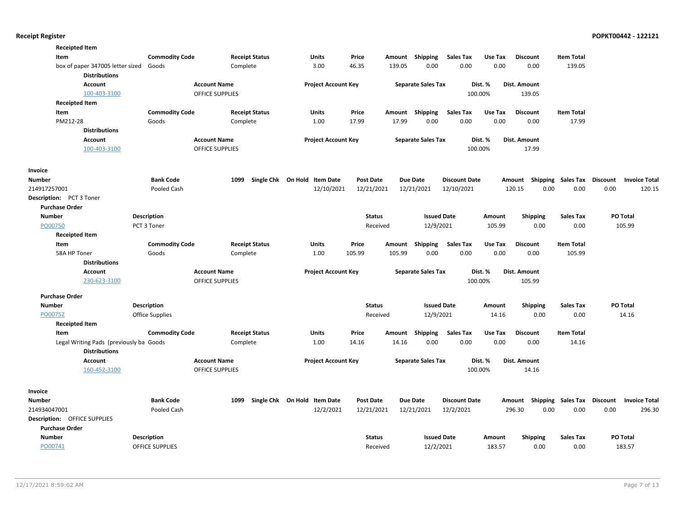| <b>Receipted Item</b>                                    |                        |                        |                                        |                  |        |                           |                      |         |                           |                    |          |                      |
|----------------------------------------------------------|------------------------|------------------------|----------------------------------------|------------------|--------|---------------------------|----------------------|---------|---------------------------|--------------------|----------|----------------------|
| Item                                                     | <b>Commodity Code</b>  | <b>Receipt Status</b>  | Units                                  | Price            | Amount | <b>Shipping</b>           | <b>Sales Tax</b>     | Use Tax | <b>Discount</b>           | <b>Item Total</b>  |          |                      |
| box of paper 347005 letter sized<br><b>Distributions</b> | Goods                  | Complete               | 3.00                                   | 46.35            | 139.05 | 0.00                      | 0.00                 | 0.00    | 0.00                      | 139.05             |          |                      |
| <b>Account</b>                                           |                        | <b>Account Name</b>    | <b>Project Account Key</b>             |                  |        | <b>Separate Sales Tax</b> |                      | Dist. % | Dist. Amount              |                    |          |                      |
| 100-403-3100                                             |                        | <b>OFFICE SUPPLIES</b> |                                        |                  |        |                           |                      | 100.00% | 139.05                    |                    |          |                      |
| <b>Receipted Item</b>                                    |                        |                        |                                        |                  |        |                           |                      |         |                           |                    |          |                      |
| Item                                                     | <b>Commodity Code</b>  | <b>Receipt Status</b>  | Units                                  | Price            | Amount | Shipping                  | <b>Sales Tax</b>     | Use Tax | <b>Discount</b>           | <b>Item Total</b>  |          |                      |
| PM212-28                                                 | Goods                  | Complete               | 1.00                                   | 17.99            | 17.99  | 0.00                      | 0.00                 | 0.00    | 0.00                      | 17.99              |          |                      |
| <b>Distributions</b>                                     |                        |                        |                                        |                  |        |                           |                      |         |                           |                    |          |                      |
| Account                                                  |                        | <b>Account Name</b>    | <b>Project Account Key</b>             |                  |        | <b>Separate Sales Tax</b> |                      | Dist. % | Dist. Amount              |                    |          |                      |
| 100-403-3100                                             |                        | <b>OFFICE SUPPLIES</b> |                                        |                  |        |                           |                      | 100.00% | 17.99                     |                    |          |                      |
|                                                          |                        |                        |                                        |                  |        |                           |                      |         |                           |                    |          |                      |
| Invoice                                                  |                        |                        |                                        |                  |        |                           |                      |         |                           |                    |          |                      |
| Number                                                   | <b>Bank Code</b>       | 1099                   | Single Chk On Hold<br><b>Item Date</b> | <b>Post Date</b> |        | <b>Due Date</b>           | <b>Discount Date</b> |         | Amount Shipping Sales Tax |                    | Discount | <b>Invoice Total</b> |
| 214917257001                                             | Pooled Cash            |                        | 12/10/2021                             | 12/21/2021       |        | 12/21/2021                | 12/10/2021           |         | 120.15<br>0.00            | 0.00               | 0.00     | 120.15               |
| Description: PCT 3 Toner                                 |                        |                        |                                        |                  |        |                           |                      |         |                           |                    |          |                      |
| <b>Purchase Order</b>                                    |                        |                        |                                        |                  |        |                           |                      |         |                           |                    |          |                      |
| <b>Number</b>                                            | Description            |                        |                                        | <b>Status</b>    |        | <b>Issued Date</b>        |                      | Amount  | Shipping                  | <b>Sales Tax</b>   |          | PO Total             |
| PO00750                                                  | PCT 3 Toner            |                        |                                        | Received         |        | 12/9/2021                 |                      | 105.99  | 0.00                      | 0.00               |          | 105.99               |
| <b>Receipted Item</b>                                    |                        |                        |                                        |                  |        |                           |                      |         |                           |                    |          |                      |
| Item                                                     | <b>Commodity Code</b>  | <b>Receipt Status</b>  | Units                                  | Price            | Amount | Shipping                  | <b>Sales Tax</b>     | Use Tax | <b>Discount</b>           | <b>Item Total</b>  |          |                      |
| 58A HP Toner                                             | Goods                  | Complete               | 1.00                                   | 105.99           | 105.99 | 0.00                      | 0.00                 | 0.00    | 0.00                      | 105.99             |          |                      |
| <b>Distributions</b>                                     |                        |                        |                                        |                  |        |                           |                      |         |                           |                    |          |                      |
| Account                                                  |                        | <b>Account Name</b>    | <b>Project Account Key</b>             |                  |        | <b>Separate Sales Tax</b> |                      | Dist. % | Dist. Amount              |                    |          |                      |
| 230-623-3100                                             |                        | <b>OFFICE SUPPLIES</b> |                                        |                  |        |                           |                      | 100.00% | 105.99                    |                    |          |                      |
| <b>Purchase Order</b>                                    |                        |                        |                                        |                  |        |                           |                      |         |                           |                    |          |                      |
| <b>Number</b>                                            | <b>Description</b>     |                        |                                        | <b>Status</b>    |        | <b>Issued Date</b>        |                      | Amount  | <b>Shipping</b>           | <b>Sales Tax</b>   |          | PO Total             |
| PO00752                                                  | <b>Office Supplies</b> |                        |                                        | Received         |        | 12/9/2021                 |                      | 14.16   | 0.00                      | 0.00               |          | 14.16                |
| <b>Receipted Item</b>                                    |                        |                        |                                        |                  |        |                           |                      |         |                           |                    |          |                      |
| Item                                                     | <b>Commodity Code</b>  | <b>Receipt Status</b>  | <b>Units</b>                           | Price            | Amount | <b>Shipping</b>           | Sales Tax            | Use Tax | <b>Discount</b>           | <b>Item Total</b>  |          |                      |
| Legal Writing Pads (previously ba Goods                  |                        | Complete               | 1.00                                   | 14.16            | 14.16  | 0.00                      | 0.00                 | 0.00    | 0.00                      | 14.16              |          |                      |
| <b>Distributions</b>                                     |                        |                        |                                        |                  |        |                           |                      |         |                           |                    |          |                      |
| Account                                                  |                        | <b>Account Name</b>    | <b>Project Account Key</b>             |                  |        | <b>Separate Sales Tax</b> |                      | Dist. % | Dist. Amount              |                    |          |                      |
| 160-452-3100                                             |                        | <b>OFFICE SUPPLIES</b> |                                        |                  |        |                           |                      | 100.00% | 14.16                     |                    |          |                      |
|                                                          |                        |                        |                                        |                  |        |                           |                      |         |                           |                    |          |                      |
| <b>Invoice</b>                                           |                        |                        |                                        |                  |        |                           |                      |         |                           |                    |          |                      |
| <b>Number</b>                                            | <b>Bank Code</b>       | 1099                   | Single Chk On Hold Item Date           | <b>Post Date</b> |        | <b>Due Date</b>           | <b>Discount Date</b> |         | Amount                    | Shipping Sales Tax | Discount | <b>Invoice Total</b> |
| 214934047001                                             | Pooled Cash            |                        | 12/2/2021                              | 12/21/2021       |        | 12/21/2021                | 12/2/2021            |         | 296.30<br>0.00            | 0.00               | 0.00     | 296.30               |
| Description: OFFICE SUPPLIES                             |                        |                        |                                        |                  |        |                           |                      |         |                           |                    |          |                      |
| <b>Purchase Order</b>                                    |                        |                        |                                        |                  |        |                           |                      |         |                           |                    |          |                      |
| <b>Number</b>                                            | <b>Description</b>     |                        |                                        | <b>Status</b>    |        | <b>Issued Date</b>        |                      | Amount  | <b>Shipping</b>           | <b>Sales Tax</b>   |          | PO Total             |
| PO00741                                                  | <b>OFFICE SUPPLIES</b> |                        |                                        | Received         |        | 12/2/2021                 |                      | 183.57  | 0.00                      | 0.00               |          | 183.57               |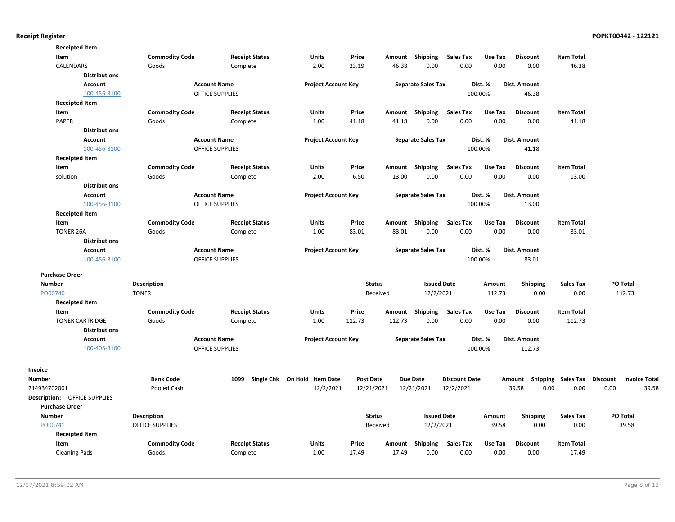| <b>Receipted Item</b>               |                      |                       |                        |                                   |                  |        |                           |                      |         |                                    |                   |                      |
|-------------------------------------|----------------------|-----------------------|------------------------|-----------------------------------|------------------|--------|---------------------------|----------------------|---------|------------------------------------|-------------------|----------------------|
| Item                                |                      | <b>Commodity Code</b> | <b>Receipt Status</b>  | Units                             | Price            | Amount | Shipping                  | <b>Sales Tax</b>     | Use Tax | <b>Discount</b>                    | <b>Item Total</b> |                      |
| CALENDARS                           |                      | Goods                 | Complete               | 2.00                              | 23.19            | 46.38  | 0.00                      | 0.00                 | 0.00    | 0.00                               | 46.38             |                      |
|                                     | <b>Distributions</b> |                       |                        |                                   |                  |        |                           |                      |         |                                    |                   |                      |
|                                     | Account              |                       | <b>Account Name</b>    | <b>Project Account Key</b>        |                  |        | <b>Separate Sales Tax</b> |                      | Dist. % | Dist. Amount                       |                   |                      |
|                                     | 100-456-3100         |                       | OFFICE SUPPLIES        |                                   |                  |        |                           |                      | 100.00% | 46.38                              |                   |                      |
| <b>Receipted Item</b>               |                      |                       |                        |                                   |                  |        |                           |                      |         |                                    |                   |                      |
| Item                                |                      | <b>Commodity Code</b> | <b>Receipt Status</b>  | <b>Units</b>                      | Price            | Amount | Shipping                  | <b>Sales Tax</b>     | Use Tax | <b>Discount</b>                    | <b>Item Total</b> |                      |
| PAPER                               |                      | Goods                 | Complete               | 1.00                              | 41.18            | 41.18  | 0.00                      | 0.00                 | 0.00    | 0.00                               | 41.18             |                      |
|                                     | <b>Distributions</b> |                       |                        |                                   |                  |        |                           |                      |         |                                    |                   |                      |
|                                     | <b>Account</b>       |                       | <b>Account Name</b>    | <b>Project Account Key</b>        |                  |        | <b>Separate Sales Tax</b> |                      | Dist. % | <b>Dist. Amount</b>                |                   |                      |
|                                     | 100-456-3100         |                       | <b>OFFICE SUPPLIES</b> |                                   |                  |        |                           |                      | 100.00% | 41.18                              |                   |                      |
| <b>Receipted Item</b>               |                      |                       |                        |                                   |                  |        |                           |                      |         |                                    |                   |                      |
| Item                                |                      | <b>Commodity Code</b> | <b>Receipt Status</b>  | <b>Units</b>                      | Price            | Amount | Shipping                  | <b>Sales Tax</b>     | Use Tax | <b>Discount</b>                    | <b>Item Total</b> |                      |
| solution                            |                      | Goods                 | Complete               | 2.00                              | 6.50             | 13.00  | 0.00                      | 0.00                 | 0.00    | 0.00                               | 13.00             |                      |
|                                     | <b>Distributions</b> |                       |                        |                                   |                  |        |                           |                      |         |                                    |                   |                      |
|                                     | <b>Account</b>       |                       | <b>Account Name</b>    | <b>Project Account Key</b>        |                  |        | <b>Separate Sales Tax</b> |                      | Dist. % | Dist. Amount                       |                   |                      |
|                                     | 100-456-3100         |                       | <b>OFFICE SUPPLIES</b> |                                   |                  |        |                           |                      | 100.00% | 13.00                              |                   |                      |
| <b>Receipted Item</b>               |                      |                       |                        |                                   |                  |        |                           |                      |         |                                    |                   |                      |
| Item                                |                      | <b>Commodity Code</b> | <b>Receipt Status</b>  | Units                             | Price            | Amount | Shipping                  | <b>Sales Tax</b>     | Use Tax | <b>Discount</b>                    | <b>Item Total</b> |                      |
| <b>TONER 26A</b>                    |                      | Goods                 | Complete               | 1.00                              | 83.01            | 83.01  | 0.00                      | 0.00                 | 0.00    | 0.00                               | 83.01             |                      |
|                                     | <b>Distributions</b> |                       |                        |                                   |                  |        |                           |                      |         |                                    |                   |                      |
|                                     | <b>Account</b>       |                       | <b>Account Name</b>    | <b>Project Account Key</b>        |                  |        | <b>Separate Sales Tax</b> |                      | Dist. % | <b>Dist. Amount</b>                |                   |                      |
|                                     | 100-456-3100         |                       | <b>OFFICE SUPPLIES</b> |                                   |                  |        |                           |                      | 100.00% | 83.01                              |                   |                      |
|                                     |                      |                       |                        |                                   |                  |        |                           |                      |         |                                    |                   |                      |
| <b>Purchase Order</b>               |                      |                       |                        |                                   |                  |        |                           |                      |         |                                    |                   |                      |
| <b>Number</b>                       |                      | <b>Description</b>    |                        |                                   | <b>Status</b>    |        | <b>Issued Date</b>        |                      | Amount  | <b>Shipping</b>                    | <b>Sales Tax</b>  | PO Total             |
| PO00740                             | <b>TONER</b>         |                       |                        |                                   | Received         |        | 12/2/2021                 |                      | 112.73  | 0.00                               | 0.00              | 112.73               |
| <b>Receipted Item</b>               |                      |                       |                        |                                   |                  |        |                           |                      |         |                                    |                   |                      |
| Item                                |                      | <b>Commodity Code</b> | <b>Receipt Status</b>  | Units                             | Price            | Amount | Shipping                  | <b>Sales Tax</b>     | Use Tax | <b>Discount</b>                    | <b>Item Total</b> |                      |
| <b>TONER CARTRIDGE</b>              |                      | Goods                 | Complete               | 1.00                              | 112.73           | 112.73 | 0.00                      | 0.00                 | 0.00    | 0.00                               | 112.73            |                      |
|                                     | <b>Distributions</b> |                       |                        |                                   |                  |        |                           |                      |         |                                    |                   |                      |
|                                     | <b>Account</b>       |                       | <b>Account Name</b>    | <b>Project Account Key</b>        |                  |        | <b>Separate Sales Tax</b> |                      | Dist. % | Dist. Amount                       |                   |                      |
|                                     | 100-405-3100         |                       | <b>OFFICE SUPPLIES</b> |                                   |                  |        |                           |                      | 100.00% | 112.73                             |                   |                      |
| Invoice                             |                      |                       |                        |                                   |                  |        |                           |                      |         |                                    |                   |                      |
| <b>Number</b>                       |                      | <b>Bank Code</b>      |                        | 1099 Single Chk On Hold Item Date | <b>Post Date</b> |        | <b>Due Date</b>           | <b>Discount Date</b> |         | Amount Shipping Sales Tax Discount |                   | <b>Invoice Total</b> |
| 214934702001                        |                      | Pooled Cash           |                        | 12/2/2021                         | 12/21/2021       |        | 12/21/2021                | 12/2/2021            |         | 39.58<br>0.00                      | 0.00              | 0.00<br>39.58        |
| <b>Description: OFFICE SUPPLIES</b> |                      |                       |                        |                                   |                  |        |                           |                      |         |                                    |                   |                      |
| <b>Purchase Order</b>               |                      |                       |                        |                                   |                  |        |                           |                      |         |                                    |                   |                      |
| Number                              |                      | Description           |                        |                                   | <b>Status</b>    |        | <b>Issued Date</b>        |                      | Amount  | <b>Shipping</b>                    | <b>Sales Tax</b>  | PO Total             |
| PO00741                             |                      | OFFICE SUPPLIES       |                        |                                   | Received         |        | 12/2/2021                 |                      | 39.58   | 0.00                               | 0.00              | 39.58                |
| <b>Receipted Item</b>               |                      |                       |                        |                                   |                  |        |                           |                      |         |                                    |                   |                      |
| Item                                |                      | <b>Commodity Code</b> | <b>Receipt Status</b>  | <b>Units</b>                      | Price            | Amount | Shipping                  | <b>Sales Tax</b>     | Use Tax | <b>Discount</b>                    | <b>Item Total</b> |                      |
| <b>Cleaning Pads</b>                |                      | Goods                 | Complete               | 1.00                              | 17.49            | 17.49  | 0.00                      | 0.00                 | 0.00    | 0.00                               | 17.49             |                      |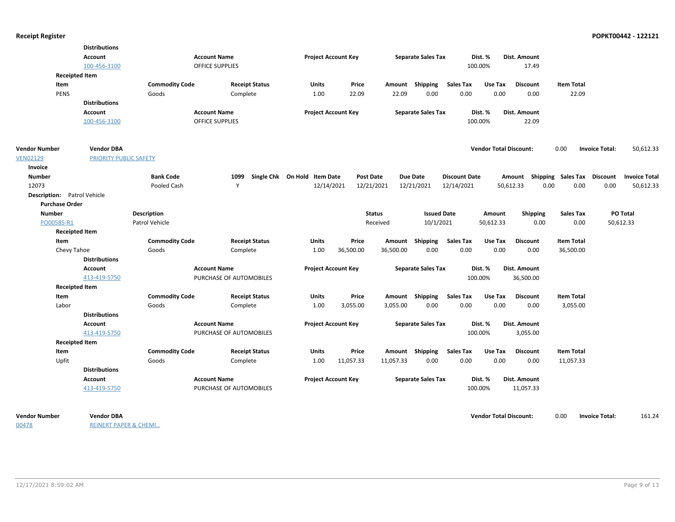| Account<br><b>Account Name</b><br><b>Project Account Key</b><br><b>Separate Sales Tax</b><br>Dist. %<br>Dist. Amount<br>100-456-3100<br>100.00%<br>17.49<br>OFFICE SUPPLIES<br><b>Receipted Item</b><br><b>Commodity Code</b><br><b>Receipt Status</b><br>Amount Shipping<br><b>Sales Tax</b><br>Use Tax<br><b>Discount</b><br><b>Item Total</b><br>Item<br>Units<br>Price<br><b>PENS</b><br>1.00<br>22.09<br>22.09<br>0.00<br>0.00<br>0.00<br>0.00<br>22.09<br>Goods<br>Complete<br><b>Distributions</b><br><b>Account</b><br><b>Account Name</b><br><b>Project Account Key</b><br><b>Separate Sales Tax</b><br>Dist. %<br>Dist. Amount<br>22.09<br>100-456-3100<br><b>OFFICE SUPPLIES</b><br>100.00%<br><b>Vendor DBA</b><br><b>Vendor Total Discount:</b><br>0.00<br>50,612.33<br><b>Vendor Number</b><br><b>Invoice Total:</b><br><b>VEN02129</b><br>PRIORITY PUBLIC SAFETY<br>Invoice<br><b>Number</b><br><b>Bank Code</b><br>1099<br>Single Chk On Hold Item Date<br><b>Post Date</b><br><b>Due Date</b><br><b>Discount Date</b><br>Amount Shipping Sales Tax Discount<br><b>Invoice Total</b><br>12073<br>Y<br>12/14/2021<br>12/21/2021<br>12/21/2021<br>12/14/2021<br>0.00<br>0.00<br>0.00<br>50,612.33<br>Pooled Cash<br>50,612.33<br>Description: Patrol Vehicle<br><b>Purchase Order</b><br><b>Issued Date</b><br>PO Total<br><b>Number</b><br><b>Description</b><br><b>Status</b><br><b>Shipping</b><br><b>Sales Tax</b><br>Amount<br>PO00585-R1<br>Patrol Vehicle<br>Received<br>10/1/2021<br>50,612.33<br>0.00<br>0.00<br>50,612.33<br><b>Receipted Item</b><br><b>Commodity Code</b><br><b>Receipt Status</b><br>Price<br>Amount Shipping<br><b>Sales Tax</b><br>Use Tax<br><b>Discount</b><br><b>Item Total</b><br>Item<br>Units<br>36,500.00<br>36,500.00<br>0.00<br>0.00<br>0.00<br>0.00<br>36,500.00<br>Chevy Tahoe<br>Goods<br>Complete<br>1.00<br><b>Distributions</b><br>Dist. Amount<br><b>Account Name</b><br><b>Project Account Key</b><br><b>Separate Sales Tax</b><br>Dist. %<br>Account<br>413-419-5750<br>PURCHASE OF AUTOMOBILES<br>100.00%<br>36,500.00<br><b>Receipted Item</b><br><b>Commodity Code</b><br>Price<br>Amount Shipping<br><b>Sales Tax</b><br>Use Tax<br><b>Discount</b><br><b>Item Total</b><br>Item<br><b>Receipt Status</b><br>Units<br>3,055.00<br>0.00<br>0.00<br>0.00<br>3,055.00<br>Labor<br>Goods<br>Complete<br>1.00<br>3,055.00<br>0.00<br><b>Distributions</b><br><b>Project Account Key</b><br><b>Account Name</b><br><b>Separate Sales Tax</b><br>Dist. %<br>Dist. Amount<br><b>Account</b><br>413-419-5750<br>PURCHASE OF AUTOMOBILES<br>100.00%<br>3,055.00<br><b>Receipted Item</b><br><b>Commodity Code</b><br><b>Receipt Status</b><br>Price<br>Amount Shipping<br><b>Sales Tax</b><br>Use Tax<br><b>Discount</b><br><b>Item Total</b><br>Item<br><b>Units</b><br>Upfit<br>11,057.33<br>0.00<br>0.00<br>0.00<br>11,057.33<br>Goods<br>Complete<br>1.00<br>11,057.33<br>0.00<br><b>Distributions</b><br><b>Account Name</b><br><b>Project Account Key</b><br><b>Separate Sales Tax</b><br>Dist. %<br>Dist. Amount<br>Account<br>413-419-5750<br>PURCHASE OF AUTOMOBILES<br>100.00%<br>11,057.33 | <b>Distributions</b> |  |  |  |  |  |  |  |
|----------------------------------------------------------------------------------------------------------------------------------------------------------------------------------------------------------------------------------------------------------------------------------------------------------------------------------------------------------------------------------------------------------------------------------------------------------------------------------------------------------------------------------------------------------------------------------------------------------------------------------------------------------------------------------------------------------------------------------------------------------------------------------------------------------------------------------------------------------------------------------------------------------------------------------------------------------------------------------------------------------------------------------------------------------------------------------------------------------------------------------------------------------------------------------------------------------------------------------------------------------------------------------------------------------------------------------------------------------------------------------------------------------------------------------------------------------------------------------------------------------------------------------------------------------------------------------------------------------------------------------------------------------------------------------------------------------------------------------------------------------------------------------------------------------------------------------------------------------------------------------------------------------------------------------------------------------------------------------------------------------------------------------------------------------------------------------------------------------------------------------------------------------------------------------------------------------------------------------------------------------------------------------------------------------------------------------------------------------------------------------------------------------------------------------------------------------------------------------------------------------------------------------------------------------------------------------------------------------------------------------------------------------------------------------------------------------------------------------------------------------------------------------------------------------------------------------------------------------------------------------------------------------------------------------------------------------------------------------------------------------------------------------------------------------------------------------------------------------------------------------------------------------------|----------------------|--|--|--|--|--|--|--|
|                                                                                                                                                                                                                                                                                                                                                                                                                                                                                                                                                                                                                                                                                                                                                                                                                                                                                                                                                                                                                                                                                                                                                                                                                                                                                                                                                                                                                                                                                                                                                                                                                                                                                                                                                                                                                                                                                                                                                                                                                                                                                                                                                                                                                                                                                                                                                                                                                                                                                                                                                                                                                                                                                                                                                                                                                                                                                                                                                                                                                                                                                                                                                                |                      |  |  |  |  |  |  |  |
|                                                                                                                                                                                                                                                                                                                                                                                                                                                                                                                                                                                                                                                                                                                                                                                                                                                                                                                                                                                                                                                                                                                                                                                                                                                                                                                                                                                                                                                                                                                                                                                                                                                                                                                                                                                                                                                                                                                                                                                                                                                                                                                                                                                                                                                                                                                                                                                                                                                                                                                                                                                                                                                                                                                                                                                                                                                                                                                                                                                                                                                                                                                                                                |                      |  |  |  |  |  |  |  |
|                                                                                                                                                                                                                                                                                                                                                                                                                                                                                                                                                                                                                                                                                                                                                                                                                                                                                                                                                                                                                                                                                                                                                                                                                                                                                                                                                                                                                                                                                                                                                                                                                                                                                                                                                                                                                                                                                                                                                                                                                                                                                                                                                                                                                                                                                                                                                                                                                                                                                                                                                                                                                                                                                                                                                                                                                                                                                                                                                                                                                                                                                                                                                                |                      |  |  |  |  |  |  |  |
|                                                                                                                                                                                                                                                                                                                                                                                                                                                                                                                                                                                                                                                                                                                                                                                                                                                                                                                                                                                                                                                                                                                                                                                                                                                                                                                                                                                                                                                                                                                                                                                                                                                                                                                                                                                                                                                                                                                                                                                                                                                                                                                                                                                                                                                                                                                                                                                                                                                                                                                                                                                                                                                                                                                                                                                                                                                                                                                                                                                                                                                                                                                                                                |                      |  |  |  |  |  |  |  |
|                                                                                                                                                                                                                                                                                                                                                                                                                                                                                                                                                                                                                                                                                                                                                                                                                                                                                                                                                                                                                                                                                                                                                                                                                                                                                                                                                                                                                                                                                                                                                                                                                                                                                                                                                                                                                                                                                                                                                                                                                                                                                                                                                                                                                                                                                                                                                                                                                                                                                                                                                                                                                                                                                                                                                                                                                                                                                                                                                                                                                                                                                                                                                                |                      |  |  |  |  |  |  |  |
|                                                                                                                                                                                                                                                                                                                                                                                                                                                                                                                                                                                                                                                                                                                                                                                                                                                                                                                                                                                                                                                                                                                                                                                                                                                                                                                                                                                                                                                                                                                                                                                                                                                                                                                                                                                                                                                                                                                                                                                                                                                                                                                                                                                                                                                                                                                                                                                                                                                                                                                                                                                                                                                                                                                                                                                                                                                                                                                                                                                                                                                                                                                                                                |                      |  |  |  |  |  |  |  |
|                                                                                                                                                                                                                                                                                                                                                                                                                                                                                                                                                                                                                                                                                                                                                                                                                                                                                                                                                                                                                                                                                                                                                                                                                                                                                                                                                                                                                                                                                                                                                                                                                                                                                                                                                                                                                                                                                                                                                                                                                                                                                                                                                                                                                                                                                                                                                                                                                                                                                                                                                                                                                                                                                                                                                                                                                                                                                                                                                                                                                                                                                                                                                                |                      |  |  |  |  |  |  |  |
|                                                                                                                                                                                                                                                                                                                                                                                                                                                                                                                                                                                                                                                                                                                                                                                                                                                                                                                                                                                                                                                                                                                                                                                                                                                                                                                                                                                                                                                                                                                                                                                                                                                                                                                                                                                                                                                                                                                                                                                                                                                                                                                                                                                                                                                                                                                                                                                                                                                                                                                                                                                                                                                                                                                                                                                                                                                                                                                                                                                                                                                                                                                                                                |                      |  |  |  |  |  |  |  |
|                                                                                                                                                                                                                                                                                                                                                                                                                                                                                                                                                                                                                                                                                                                                                                                                                                                                                                                                                                                                                                                                                                                                                                                                                                                                                                                                                                                                                                                                                                                                                                                                                                                                                                                                                                                                                                                                                                                                                                                                                                                                                                                                                                                                                                                                                                                                                                                                                                                                                                                                                                                                                                                                                                                                                                                                                                                                                                                                                                                                                                                                                                                                                                |                      |  |  |  |  |  |  |  |
|                                                                                                                                                                                                                                                                                                                                                                                                                                                                                                                                                                                                                                                                                                                                                                                                                                                                                                                                                                                                                                                                                                                                                                                                                                                                                                                                                                                                                                                                                                                                                                                                                                                                                                                                                                                                                                                                                                                                                                                                                                                                                                                                                                                                                                                                                                                                                                                                                                                                                                                                                                                                                                                                                                                                                                                                                                                                                                                                                                                                                                                                                                                                                                |                      |  |  |  |  |  |  |  |
|                                                                                                                                                                                                                                                                                                                                                                                                                                                                                                                                                                                                                                                                                                                                                                                                                                                                                                                                                                                                                                                                                                                                                                                                                                                                                                                                                                                                                                                                                                                                                                                                                                                                                                                                                                                                                                                                                                                                                                                                                                                                                                                                                                                                                                                                                                                                                                                                                                                                                                                                                                                                                                                                                                                                                                                                                                                                                                                                                                                                                                                                                                                                                                |                      |  |  |  |  |  |  |  |
|                                                                                                                                                                                                                                                                                                                                                                                                                                                                                                                                                                                                                                                                                                                                                                                                                                                                                                                                                                                                                                                                                                                                                                                                                                                                                                                                                                                                                                                                                                                                                                                                                                                                                                                                                                                                                                                                                                                                                                                                                                                                                                                                                                                                                                                                                                                                                                                                                                                                                                                                                                                                                                                                                                                                                                                                                                                                                                                                                                                                                                                                                                                                                                |                      |  |  |  |  |  |  |  |
|                                                                                                                                                                                                                                                                                                                                                                                                                                                                                                                                                                                                                                                                                                                                                                                                                                                                                                                                                                                                                                                                                                                                                                                                                                                                                                                                                                                                                                                                                                                                                                                                                                                                                                                                                                                                                                                                                                                                                                                                                                                                                                                                                                                                                                                                                                                                                                                                                                                                                                                                                                                                                                                                                                                                                                                                                                                                                                                                                                                                                                                                                                                                                                |                      |  |  |  |  |  |  |  |
|                                                                                                                                                                                                                                                                                                                                                                                                                                                                                                                                                                                                                                                                                                                                                                                                                                                                                                                                                                                                                                                                                                                                                                                                                                                                                                                                                                                                                                                                                                                                                                                                                                                                                                                                                                                                                                                                                                                                                                                                                                                                                                                                                                                                                                                                                                                                                                                                                                                                                                                                                                                                                                                                                                                                                                                                                                                                                                                                                                                                                                                                                                                                                                |                      |  |  |  |  |  |  |  |
|                                                                                                                                                                                                                                                                                                                                                                                                                                                                                                                                                                                                                                                                                                                                                                                                                                                                                                                                                                                                                                                                                                                                                                                                                                                                                                                                                                                                                                                                                                                                                                                                                                                                                                                                                                                                                                                                                                                                                                                                                                                                                                                                                                                                                                                                                                                                                                                                                                                                                                                                                                                                                                                                                                                                                                                                                                                                                                                                                                                                                                                                                                                                                                |                      |  |  |  |  |  |  |  |
|                                                                                                                                                                                                                                                                                                                                                                                                                                                                                                                                                                                                                                                                                                                                                                                                                                                                                                                                                                                                                                                                                                                                                                                                                                                                                                                                                                                                                                                                                                                                                                                                                                                                                                                                                                                                                                                                                                                                                                                                                                                                                                                                                                                                                                                                                                                                                                                                                                                                                                                                                                                                                                                                                                                                                                                                                                                                                                                                                                                                                                                                                                                                                                |                      |  |  |  |  |  |  |  |
|                                                                                                                                                                                                                                                                                                                                                                                                                                                                                                                                                                                                                                                                                                                                                                                                                                                                                                                                                                                                                                                                                                                                                                                                                                                                                                                                                                                                                                                                                                                                                                                                                                                                                                                                                                                                                                                                                                                                                                                                                                                                                                                                                                                                                                                                                                                                                                                                                                                                                                                                                                                                                                                                                                                                                                                                                                                                                                                                                                                                                                                                                                                                                                |                      |  |  |  |  |  |  |  |
|                                                                                                                                                                                                                                                                                                                                                                                                                                                                                                                                                                                                                                                                                                                                                                                                                                                                                                                                                                                                                                                                                                                                                                                                                                                                                                                                                                                                                                                                                                                                                                                                                                                                                                                                                                                                                                                                                                                                                                                                                                                                                                                                                                                                                                                                                                                                                                                                                                                                                                                                                                                                                                                                                                                                                                                                                                                                                                                                                                                                                                                                                                                                                                |                      |  |  |  |  |  |  |  |
|                                                                                                                                                                                                                                                                                                                                                                                                                                                                                                                                                                                                                                                                                                                                                                                                                                                                                                                                                                                                                                                                                                                                                                                                                                                                                                                                                                                                                                                                                                                                                                                                                                                                                                                                                                                                                                                                                                                                                                                                                                                                                                                                                                                                                                                                                                                                                                                                                                                                                                                                                                                                                                                                                                                                                                                                                                                                                                                                                                                                                                                                                                                                                                |                      |  |  |  |  |  |  |  |
|                                                                                                                                                                                                                                                                                                                                                                                                                                                                                                                                                                                                                                                                                                                                                                                                                                                                                                                                                                                                                                                                                                                                                                                                                                                                                                                                                                                                                                                                                                                                                                                                                                                                                                                                                                                                                                                                                                                                                                                                                                                                                                                                                                                                                                                                                                                                                                                                                                                                                                                                                                                                                                                                                                                                                                                                                                                                                                                                                                                                                                                                                                                                                                |                      |  |  |  |  |  |  |  |
|                                                                                                                                                                                                                                                                                                                                                                                                                                                                                                                                                                                                                                                                                                                                                                                                                                                                                                                                                                                                                                                                                                                                                                                                                                                                                                                                                                                                                                                                                                                                                                                                                                                                                                                                                                                                                                                                                                                                                                                                                                                                                                                                                                                                                                                                                                                                                                                                                                                                                                                                                                                                                                                                                                                                                                                                                                                                                                                                                                                                                                                                                                                                                                |                      |  |  |  |  |  |  |  |
|                                                                                                                                                                                                                                                                                                                                                                                                                                                                                                                                                                                                                                                                                                                                                                                                                                                                                                                                                                                                                                                                                                                                                                                                                                                                                                                                                                                                                                                                                                                                                                                                                                                                                                                                                                                                                                                                                                                                                                                                                                                                                                                                                                                                                                                                                                                                                                                                                                                                                                                                                                                                                                                                                                                                                                                                                                                                                                                                                                                                                                                                                                                                                                |                      |  |  |  |  |  |  |  |
|                                                                                                                                                                                                                                                                                                                                                                                                                                                                                                                                                                                                                                                                                                                                                                                                                                                                                                                                                                                                                                                                                                                                                                                                                                                                                                                                                                                                                                                                                                                                                                                                                                                                                                                                                                                                                                                                                                                                                                                                                                                                                                                                                                                                                                                                                                                                                                                                                                                                                                                                                                                                                                                                                                                                                                                                                                                                                                                                                                                                                                                                                                                                                                |                      |  |  |  |  |  |  |  |
|                                                                                                                                                                                                                                                                                                                                                                                                                                                                                                                                                                                                                                                                                                                                                                                                                                                                                                                                                                                                                                                                                                                                                                                                                                                                                                                                                                                                                                                                                                                                                                                                                                                                                                                                                                                                                                                                                                                                                                                                                                                                                                                                                                                                                                                                                                                                                                                                                                                                                                                                                                                                                                                                                                                                                                                                                                                                                                                                                                                                                                                                                                                                                                |                      |  |  |  |  |  |  |  |
|                                                                                                                                                                                                                                                                                                                                                                                                                                                                                                                                                                                                                                                                                                                                                                                                                                                                                                                                                                                                                                                                                                                                                                                                                                                                                                                                                                                                                                                                                                                                                                                                                                                                                                                                                                                                                                                                                                                                                                                                                                                                                                                                                                                                                                                                                                                                                                                                                                                                                                                                                                                                                                                                                                                                                                                                                                                                                                                                                                                                                                                                                                                                                                |                      |  |  |  |  |  |  |  |
|                                                                                                                                                                                                                                                                                                                                                                                                                                                                                                                                                                                                                                                                                                                                                                                                                                                                                                                                                                                                                                                                                                                                                                                                                                                                                                                                                                                                                                                                                                                                                                                                                                                                                                                                                                                                                                                                                                                                                                                                                                                                                                                                                                                                                                                                                                                                                                                                                                                                                                                                                                                                                                                                                                                                                                                                                                                                                                                                                                                                                                                                                                                                                                |                      |  |  |  |  |  |  |  |
|                                                                                                                                                                                                                                                                                                                                                                                                                                                                                                                                                                                                                                                                                                                                                                                                                                                                                                                                                                                                                                                                                                                                                                                                                                                                                                                                                                                                                                                                                                                                                                                                                                                                                                                                                                                                                                                                                                                                                                                                                                                                                                                                                                                                                                                                                                                                                                                                                                                                                                                                                                                                                                                                                                                                                                                                                                                                                                                                                                                                                                                                                                                                                                |                      |  |  |  |  |  |  |  |
|                                                                                                                                                                                                                                                                                                                                                                                                                                                                                                                                                                                                                                                                                                                                                                                                                                                                                                                                                                                                                                                                                                                                                                                                                                                                                                                                                                                                                                                                                                                                                                                                                                                                                                                                                                                                                                                                                                                                                                                                                                                                                                                                                                                                                                                                                                                                                                                                                                                                                                                                                                                                                                                                                                                                                                                                                                                                                                                                                                                                                                                                                                                                                                |                      |  |  |  |  |  |  |  |
|                                                                                                                                                                                                                                                                                                                                                                                                                                                                                                                                                                                                                                                                                                                                                                                                                                                                                                                                                                                                                                                                                                                                                                                                                                                                                                                                                                                                                                                                                                                                                                                                                                                                                                                                                                                                                                                                                                                                                                                                                                                                                                                                                                                                                                                                                                                                                                                                                                                                                                                                                                                                                                                                                                                                                                                                                                                                                                                                                                                                                                                                                                                                                                |                      |  |  |  |  |  |  |  |
|                                                                                                                                                                                                                                                                                                                                                                                                                                                                                                                                                                                                                                                                                                                                                                                                                                                                                                                                                                                                                                                                                                                                                                                                                                                                                                                                                                                                                                                                                                                                                                                                                                                                                                                                                                                                                                                                                                                                                                                                                                                                                                                                                                                                                                                                                                                                                                                                                                                                                                                                                                                                                                                                                                                                                                                                                                                                                                                                                                                                                                                                                                                                                                |                      |  |  |  |  |  |  |  |
|                                                                                                                                                                                                                                                                                                                                                                                                                                                                                                                                                                                                                                                                                                                                                                                                                                                                                                                                                                                                                                                                                                                                                                                                                                                                                                                                                                                                                                                                                                                                                                                                                                                                                                                                                                                                                                                                                                                                                                                                                                                                                                                                                                                                                                                                                                                                                                                                                                                                                                                                                                                                                                                                                                                                                                                                                                                                                                                                                                                                                                                                                                                                                                |                      |  |  |  |  |  |  |  |
|                                                                                                                                                                                                                                                                                                                                                                                                                                                                                                                                                                                                                                                                                                                                                                                                                                                                                                                                                                                                                                                                                                                                                                                                                                                                                                                                                                                                                                                                                                                                                                                                                                                                                                                                                                                                                                                                                                                                                                                                                                                                                                                                                                                                                                                                                                                                                                                                                                                                                                                                                                                                                                                                                                                                                                                                                                                                                                                                                                                                                                                                                                                                                                |                      |  |  |  |  |  |  |  |
|                                                                                                                                                                                                                                                                                                                                                                                                                                                                                                                                                                                                                                                                                                                                                                                                                                                                                                                                                                                                                                                                                                                                                                                                                                                                                                                                                                                                                                                                                                                                                                                                                                                                                                                                                                                                                                                                                                                                                                                                                                                                                                                                                                                                                                                                                                                                                                                                                                                                                                                                                                                                                                                                                                                                                                                                                                                                                                                                                                                                                                                                                                                                                                |                      |  |  |  |  |  |  |  |
|                                                                                                                                                                                                                                                                                                                                                                                                                                                                                                                                                                                                                                                                                                                                                                                                                                                                                                                                                                                                                                                                                                                                                                                                                                                                                                                                                                                                                                                                                                                                                                                                                                                                                                                                                                                                                                                                                                                                                                                                                                                                                                                                                                                                                                                                                                                                                                                                                                                                                                                                                                                                                                                                                                                                                                                                                                                                                                                                                                                                                                                                                                                                                                |                      |  |  |  |  |  |  |  |
|                                                                                                                                                                                                                                                                                                                                                                                                                                                                                                                                                                                                                                                                                                                                                                                                                                                                                                                                                                                                                                                                                                                                                                                                                                                                                                                                                                                                                                                                                                                                                                                                                                                                                                                                                                                                                                                                                                                                                                                                                                                                                                                                                                                                                                                                                                                                                                                                                                                                                                                                                                                                                                                                                                                                                                                                                                                                                                                                                                                                                                                                                                                                                                |                      |  |  |  |  |  |  |  |
|                                                                                                                                                                                                                                                                                                                                                                                                                                                                                                                                                                                                                                                                                                                                                                                                                                                                                                                                                                                                                                                                                                                                                                                                                                                                                                                                                                                                                                                                                                                                                                                                                                                                                                                                                                                                                                                                                                                                                                                                                                                                                                                                                                                                                                                                                                                                                                                                                                                                                                                                                                                                                                                                                                                                                                                                                                                                                                                                                                                                                                                                                                                                                                |                      |  |  |  |  |  |  |  |
|                                                                                                                                                                                                                                                                                                                                                                                                                                                                                                                                                                                                                                                                                                                                                                                                                                                                                                                                                                                                                                                                                                                                                                                                                                                                                                                                                                                                                                                                                                                                                                                                                                                                                                                                                                                                                                                                                                                                                                                                                                                                                                                                                                                                                                                                                                                                                                                                                                                                                                                                                                                                                                                                                                                                                                                                                                                                                                                                                                                                                                                                                                                                                                |                      |  |  |  |  |  |  |  |
| <b>Vendor Number</b><br><b>Vendor DBA</b><br><b>Vendor Total Discount:</b><br>0.00<br>161.24<br><b>Invoice Total:</b>                                                                                                                                                                                                                                                                                                                                                                                                                                                                                                                                                                                                                                                                                                                                                                                                                                                                                                                                                                                                                                                                                                                                                                                                                                                                                                                                                                                                                                                                                                                                                                                                                                                                                                                                                                                                                                                                                                                                                                                                                                                                                                                                                                                                                                                                                                                                                                                                                                                                                                                                                                                                                                                                                                                                                                                                                                                                                                                                                                                                                                          |                      |  |  |  |  |  |  |  |

00478

REINERT PAPER & CHEMI…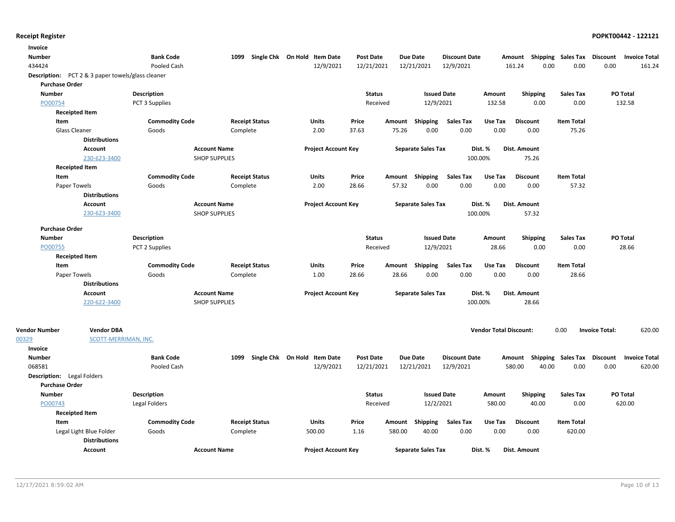| <b>Invoice</b>                    |                                                          |                       |                      |                       |                              |                  |        |                           |                      |                               |                           |                           |                       |                      |
|-----------------------------------|----------------------------------------------------------|-----------------------|----------------------|-----------------------|------------------------------|------------------|--------|---------------------------|----------------------|-------------------------------|---------------------------|---------------------------|-----------------------|----------------------|
| <b>Number</b>                     |                                                          | <b>Bank Code</b>      | 1099                 |                       | Single Chk On Hold Item Date | <b>Post Date</b> |        | <b>Due Date</b>           | <b>Discount Date</b> |                               | Amount                    | <b>Shipping Sales Tax</b> | <b>Discount</b>       | <b>Invoice Total</b> |
| 434424                            |                                                          | Pooled Cash           |                      |                       | 12/9/2021                    | 12/21/2021       |        | 12/21/2021                | 12/9/2021            |                               | 161.24<br>0.00            | 0.00                      | 0.00                  | 161.24               |
|                                   | <b>Description:</b> PCT 2 & 3 paper towels/glass cleaner |                       |                      |                       |                              |                  |        |                           |                      |                               |                           |                           |                       |                      |
| <b>Purchase Order</b>             |                                                          |                       |                      |                       |                              |                  |        |                           |                      |                               |                           |                           |                       |                      |
| <b>Number</b>                     |                                                          | <b>Description</b>    |                      |                       |                              | <b>Status</b>    |        | <b>Issued Date</b>        |                      | Amount                        | <b>Shipping</b>           | <b>Sales Tax</b>          | PO Total              |                      |
| PO00754                           |                                                          | PCT 3 Supplies        |                      |                       |                              | Received         |        | 12/9/2021                 |                      | 132.58                        | 0.00                      | 0.00                      | 132.58                |                      |
| <b>Receipted Item</b>             |                                                          |                       |                      |                       |                              |                  |        |                           |                      |                               |                           |                           |                       |                      |
| Item                              |                                                          | <b>Commodity Code</b> |                      | <b>Receipt Status</b> | Units                        | Price            | Amount | <b>Shipping</b>           | <b>Sales Tax</b>     | Use Tax                       | <b>Discount</b>           | <b>Item Total</b>         |                       |                      |
| Glass Cleaner                     |                                                          | Goods                 | Complete             |                       | 2.00                         | 37.63            | 75.26  | 0.00                      | 0.00                 | 0.00                          | 0.00                      | 75.26                     |                       |                      |
|                                   | <b>Distributions</b>                                     |                       |                      |                       |                              |                  |        |                           |                      |                               |                           |                           |                       |                      |
|                                   | <b>Account</b>                                           |                       | <b>Account Name</b>  |                       | <b>Project Account Key</b>   |                  |        | <b>Separate Sales Tax</b> |                      | Dist. %                       | Dist. Amount              |                           |                       |                      |
|                                   | 230-623-3400                                             |                       | <b>SHOP SUPPLIES</b> |                       |                              |                  |        |                           | 100.00%              |                               | 75.26                     |                           |                       |                      |
| <b>Receipted Item</b>             |                                                          |                       |                      |                       |                              |                  |        |                           |                      |                               |                           |                           |                       |                      |
| Item                              |                                                          | <b>Commodity Code</b> |                      | <b>Receipt Status</b> | <b>Units</b>                 | Price            | Amount | Shipping                  | <b>Sales Tax</b>     | Use Tax                       | <b>Discount</b>           | <b>Item Total</b>         |                       |                      |
| Paper Towels                      |                                                          | Goods                 | Complete             |                       | 2.00                         | 28.66            | 57.32  | 0.00                      | 0.00                 | 0.00                          | 0.00                      | 57.32                     |                       |                      |
|                                   | <b>Distributions</b>                                     |                       |                      |                       |                              |                  |        |                           |                      |                               |                           |                           |                       |                      |
|                                   | <b>Account</b>                                           |                       | <b>Account Name</b>  |                       | <b>Project Account Key</b>   |                  |        | <b>Separate Sales Tax</b> |                      | Dist. %                       | Dist. Amount              |                           |                       |                      |
|                                   | 230-623-3400                                             |                       | <b>SHOP SUPPLIES</b> |                       |                              |                  |        |                           | 100.00%              |                               | 57.32                     |                           |                       |                      |
| <b>Purchase Order</b>             |                                                          |                       |                      |                       |                              |                  |        |                           |                      |                               |                           |                           |                       |                      |
| <b>Number</b>                     |                                                          | <b>Description</b>    |                      |                       |                              | <b>Status</b>    |        | <b>Issued Date</b>        |                      | Amount                        | Shipping                  | <b>Sales Tax</b>          | PO Total              |                      |
| PO00755                           |                                                          | PCT 2 Supplies        |                      |                       |                              | Received         |        | 12/9/2021                 |                      | 28.66                         | 0.00                      | 0.00                      | 28.66                 |                      |
| <b>Receipted Item</b>             |                                                          |                       |                      |                       |                              |                  |        |                           |                      |                               |                           |                           |                       |                      |
| Item                              |                                                          | <b>Commodity Code</b> |                      | <b>Receipt Status</b> | Units                        | Price            | Amount | Shipping                  | <b>Sales Tax</b>     | Use Tax                       | <b>Discount</b>           | <b>Item Total</b>         |                       |                      |
| Paper Towels                      |                                                          | Goods                 | Complete             |                       | 1.00                         | 28.66            | 28.66  | 0.00                      | 0.00                 | 0.00                          | 0.00                      | 28.66                     |                       |                      |
|                                   | <b>Distributions</b>                                     |                       |                      |                       |                              |                  |        |                           |                      |                               |                           |                           |                       |                      |
|                                   | <b>Account</b>                                           |                       | <b>Account Name</b>  |                       | <b>Project Account Key</b>   |                  |        | <b>Separate Sales Tax</b> |                      | Dist. %                       | Dist. Amount              |                           |                       |                      |
|                                   | 220-622-3400                                             |                       | <b>SHOP SUPPLIES</b> |                       |                              |                  |        |                           | 100.00%              |                               | 28.66                     |                           |                       |                      |
|                                   |                                                          |                       |                      |                       |                              |                  |        |                           |                      |                               |                           |                           |                       |                      |
|                                   |                                                          |                       |                      |                       |                              |                  |        |                           |                      |                               |                           |                           |                       |                      |
| <b>Vendor Number</b>              | <b>Vendor DBA</b>                                        |                       |                      |                       |                              |                  |        |                           |                      | <b>Vendor Total Discount:</b> |                           | 0.00                      | <b>Invoice Total:</b> | 620.00               |
| 00329                             | SCOTT-MERRIMAN, INC.                                     |                       |                      |                       |                              |                  |        |                           |                      |                               |                           |                           |                       |                      |
| Invoice                           |                                                          |                       |                      |                       |                              |                  |        |                           |                      |                               |                           |                           |                       |                      |
| <b>Number</b>                     |                                                          | <b>Bank Code</b>      | 1099                 |                       | Single Chk On Hold Item Date | <b>Post Date</b> |        | <b>Due Date</b>           | <b>Discount Date</b> |                               | Amount Shipping Sales Tax |                           | Discount              | <b>Invoice Total</b> |
| 068581                            |                                                          | Pooled Cash           |                      |                       | 12/9/2021                    | 12/21/2021       |        | 12/21/2021                | 12/9/2021            |                               | 580.00<br>40.00           | 0.00                      | 0.00                  | 620.00               |
| <b>Description:</b> Legal Folders |                                                          |                       |                      |                       |                              |                  |        |                           |                      |                               |                           |                           |                       |                      |
| <b>Purchase Order</b>             |                                                          |                       |                      |                       |                              |                  |        |                           |                      |                               |                           |                           |                       |                      |
| <b>Number</b>                     |                                                          | Description           |                      |                       |                              | <b>Status</b>    |        | <b>Issued Date</b>        |                      | Amount                        | <b>Shipping</b>           | <b>Sales Tax</b>          | PO Total              |                      |
| PO00743                           |                                                          | Legal Folders         |                      |                       |                              | Received         |        | 12/2/2021                 |                      | 580.00                        | 40.00                     | 0.00                      | 620.00                |                      |
| <b>Receipted Item</b>             |                                                          |                       |                      |                       |                              |                  |        |                           |                      |                               |                           |                           |                       |                      |
| Item                              |                                                          | <b>Commodity Code</b> |                      | <b>Receipt Status</b> | Units                        | Price            | Amount | <b>Shipping</b>           | <b>Sales Tax</b>     | Use Tax                       | <b>Discount</b>           | <b>Item Total</b>         |                       |                      |
|                                   | Legal Light Blue Folder                                  | Goods                 | Complete             |                       | 500.00                       | 1.16             | 580.00 | 40.00                     | 0.00                 | 0.00                          | 0.00                      | 620.00                    |                       |                      |
|                                   | <b>Distributions</b>                                     |                       |                      |                       |                              |                  |        |                           |                      |                               |                           |                           |                       |                      |
|                                   | <b>Account</b>                                           |                       | <b>Account Name</b>  |                       | <b>Project Account Key</b>   |                  |        | <b>Separate Sales Tax</b> |                      | Dist. %                       | Dist. Amount              |                           |                       |                      |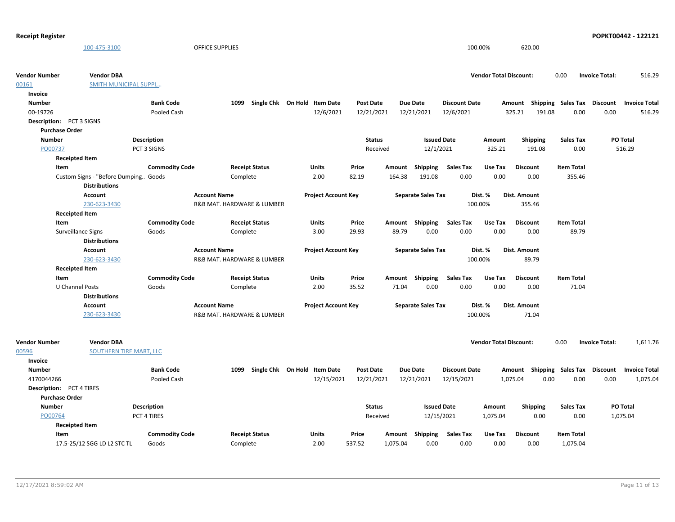### 100-475-3100 OFFICE SUPPLIES 100.00% 620.00 **Vendor Number Vendor Total Discount:** 516.29 00161 **Vendor DBA** 0.00 **Invoice Total:** SMITH MUNICIPAL SUPPL… 00-19726 Pooled Cash 12/6/2021 12/21/2021 12/21/2021 325.21 191.08 0.00 516.29 **Description:** PCT 3 SIGNS Number **Bank Code** 1099 Single Chk On Hold Item Date Post Date Due Date Discount Date Amount Shipping Sales Tax Discount Invoice Total **Single Chk On Hold Invoice Discount** 12/6/2021 **Discount Date** PO00737 **Purchase Order** 325.21 191.08 0.00 **Issued Date Amount Shipping Sales Tax** 12/1/2021 **Description** PCT 3 SIGNS **Status** Received **Number** Custom Signs - "Before Dumping... Goods Complete 2.00 82.19 164.38 191.08 0.00 0.00 355.46 **Receipted Item Item Commodity Code Receipt Status Units Price Amount Shipping Sales Tax Use Tax Item Total** 0.00 **Discount Account Project Account Key Separate Sales Tax Dist. % Dist. Amount Distributions Account Name** 230-623-3430 **R&B MAT. HARDWARE & LUMBER** 100.00% 355.46 Surveillance Signs Goods Complete 3.00 29.93 89.79 0.00 0.00 89.79 **Receipted Item Item Commodity Code Receipt Status Units Price Amount Shipping Sales Tax Use Tax Item Total** 0.00 **Discount Account Project Account Key Separate Sales Tax Dist. % Dist. Amount Distributions Account Name** 230-623-3430 **R&B MAT. HARDWARE & LUMBER** 100.00% 89.79 U Channel Posts Goods Complete 2.00 35.52 71.04 0.00 0.00 0.00 71.04 **Receipted Item Item Commodity Code Receipt Status Units Price Amount Shipping Sales Tax Use Tax Item Total** 0.00 **Discount Account Project Account Key Separate Sales Tax Dist. % Dist. Amount Distributions Account Name** 230-623-3430 **R&B MAT. HARDWARE & LUMBER** 100.00% 71.04 **Vendor Number Vendor Total Discount:** 1,611.76 00596 **Vendor DBA** 0.00 **Invoice Total:** SOUTHERN TIRE MART, LLC 4170044266 Pooled Cash 12/15/2021 12/21/2021 12/15/2021 1,075.04 0.00 0.00 0.00 1,075.04 Description: PCT 4 TIRES Number **Bank Code** 1099 Single Chk On Hold Item Date Post Date Due Date Discount Date Amount Shipping Sales Tax Discount Invoice Total **Invoice Shipping Sales Tax Discount** 12/15/2021 **Discount Date** PO00764 **Purchase Order** 1,075.04 0.00 0.00 **Issued Date Amount Shipping Sales Tax** 12/15/2021 **Description** PCT 4 TIRES **Status** Received **Number**

|                             | PUT 4 TIRES    |                       |       |        | Received | 12/15/2021 |                  | 1.U/5.U4 | <b>U.UL</b>     | <b>U.UU</b>       |  |
|-----------------------------|----------------|-----------------------|-------|--------|----------|------------|------------------|----------|-----------------|-------------------|--|
| <b>Receipted Item</b>       |                |                       |       |        |          |            |                  |          |                 |                   |  |
| Item                        | Commodity Code | <b>Receipt Status</b> | Units | Price  | Amount   | Shipping   | <b>Sales Tax</b> | Use Tax  | <b>Discount</b> | <b>Item Total</b> |  |
| 17.5-25/12 SGG LD L2 STC TL | Goods          | Complete              | 2.00  | 537.52 | 1.075.04 | 0.00       | 0.00             | 0.00     | 0.00            | 1.075.04          |  |

0.00

1,075.04 **PO Total**

**Receipt Register POPKT00442 - 122121**

0.00

516.29 **PO Total**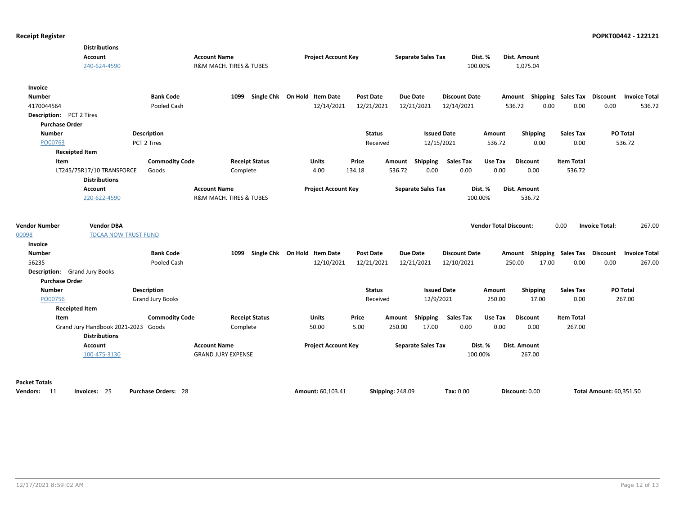|                                          | <b>Distributions</b><br><b>Account</b><br>240-624-4590 |                                 | <b>Account Name</b><br><b>R&amp;M MACH. TIRES &amp; TUBES</b> |                              | <b>Project Account Key</b> |                                |                         | <b>Separate Sales Tax</b> |                                    | Dist. %<br>100.00%            | Dist. Amount<br>1,075.04 |                    |                  |                         |                                                            |
|------------------------------------------|--------------------------------------------------------|---------------------------------|---------------------------------------------------------------|------------------------------|----------------------------|--------------------------------|-------------------------|---------------------------|------------------------------------|-------------------------------|--------------------------|--------------------|------------------|-------------------------|------------------------------------------------------------|
| Invoice<br><b>Number</b><br>4170044564   |                                                        | <b>Bank Code</b><br>Pooled Cash | 1099                                                          | Single Chk On Hold Item Date | 12/14/2021                 | <b>Post Date</b><br>12/21/2021 |                         | Due Date<br>12/21/2021    | <b>Discount Date</b><br>12/14/2021 |                               | 536.72                   | 0.00               | 0.00             | 0.00                    | Amount Shipping Sales Tax Discount Invoice Total<br>536.72 |
| <b>Description:</b> PCT 2 Tires          |                                                        |                                 |                                                               |                              |                            |                                |                         |                           |                                    |                               |                          |                    |                  |                         |                                                            |
| <b>Purchase Order</b>                    |                                                        |                                 |                                                               |                              |                            |                                |                         |                           |                                    |                               |                          |                    |                  |                         |                                                            |
| <b>Number</b>                            |                                                        | Description                     |                                                               |                              |                            | <b>Status</b>                  |                         |                           | <b>Issued Date</b>                 | Amount                        | Shipping                 |                    | <b>Sales Tax</b> |                         | PO Total                                                   |
| PO00763                                  |                                                        | PCT 2 Tires                     |                                                               |                              |                            | Received                       |                         | 12/15/2021                |                                    | 536.72                        |                          | 0.00               | 0.00             |                         | 536.72                                                     |
| <b>Receipted Item</b>                    |                                                        |                                 |                                                               |                              |                            |                                |                         |                           |                                    |                               |                          |                    |                  |                         |                                                            |
| Item                                     |                                                        | <b>Commodity Code</b>           |                                                               | <b>Receipt Status</b>        | Units                      | Price                          |                         | Amount Shipping           | <b>Sales Tax</b>                   | Use Tax                       | <b>Discount</b>          | <b>Item Total</b>  |                  |                         |                                                            |
|                                          | LT245/75R17/10 TRANSFORCE                              | Goods                           | Complete                                                      |                              | 4.00                       | 134.18                         | 536.72                  | 0.00                      | 0.00                               | 0.00                          | 0.00                     |                    | 536.72           |                         |                                                            |
|                                          | <b>Distributions</b>                                   |                                 |                                                               |                              |                            |                                |                         |                           |                                    |                               |                          |                    |                  |                         |                                                            |
|                                          | Account                                                |                                 | <b>Account Name</b>                                           |                              | <b>Project Account Key</b> |                                |                         | <b>Separate Sales Tax</b> |                                    | Dist. %                       | Dist. Amount             |                    |                  |                         |                                                            |
|                                          | 220-622-4590                                           |                                 | R&M MACH. TIRES & TUBES                                       |                              |                            |                                |                         |                           |                                    | 100.00%                       | 536.72                   |                    |                  |                         |                                                            |
| <b>Vendor Number</b><br>00098<br>Invoice | <b>Vendor DBA</b><br><b>TDCAA NOW TRUST FUND</b>       |                                 |                                                               |                              |                            |                                |                         |                           |                                    | <b>Vendor Total Discount:</b> |                          | 0.00               |                  | <b>Invoice Total:</b>   | 267.00                                                     |
| <b>Number</b>                            |                                                        | <b>Bank Code</b>                | 1099                                                          | Single Chk On Hold Item Date |                            | <b>Post Date</b>               |                         | <b>Due Date</b>           | <b>Discount Date</b>               |                               | Amount                   | Shipping Sales Tax |                  | <b>Discount</b>         | <b>Invoice Total</b>                                       |
| 56235                                    |                                                        | Pooled Cash                     |                                                               |                              | 12/10/2021                 | 12/21/2021                     |                         | 12/21/2021                | 12/10/2021                         |                               | 250.00                   | 17.00              | 0.00             | 0.00                    | 267.00                                                     |
| <b>Description:</b> Grand Jury Books     |                                                        |                                 |                                                               |                              |                            |                                |                         |                           |                                    |                               |                          |                    |                  |                         |                                                            |
| <b>Purchase Order</b>                    |                                                        |                                 |                                                               |                              |                            |                                |                         |                           |                                    |                               |                          |                    |                  |                         |                                                            |
| <b>Number</b>                            |                                                        | <b>Description</b>              |                                                               |                              |                            | <b>Status</b>                  |                         | <b>Issued Date</b>        |                                    | Amount                        | Shipping                 |                    | <b>Sales Tax</b> |                         | PO Total                                                   |
| PO00756                                  |                                                        | <b>Grand Jury Books</b>         |                                                               |                              |                            | Received                       |                         | 12/9/2021                 |                                    | 250.00                        |                          | 17.00              | 0.00             |                         | 267.00                                                     |
| <b>Receipted Item</b>                    |                                                        |                                 |                                                               |                              |                            |                                |                         |                           |                                    |                               |                          |                    |                  |                         |                                                            |
| Item                                     |                                                        | <b>Commodity Code</b>           |                                                               | <b>Receipt Status</b>        | Units                      | Price                          | Amount                  | Shipping                  | <b>Sales Tax</b>                   | Use Tax                       | <b>Discount</b>          | <b>Item Total</b>  |                  |                         |                                                            |
|                                          | Grand Jury Handbook 2021-2023<br><b>Distributions</b>  | Goods                           | Complete                                                      |                              | 50.00                      | 5.00                           | 250.00                  | 17.00                     | 0.00                               | 0.00                          | 0.00                     |                    | 267.00           |                         |                                                            |
|                                          | <b>Account</b>                                         |                                 | <b>Account Name</b>                                           |                              | <b>Project Account Key</b> |                                |                         | <b>Separate Sales Tax</b> |                                    | Dist. %                       | Dist. Amount             |                    |                  |                         |                                                            |
|                                          | 100-475-3130                                           |                                 | <b>GRAND JURY EXPENSE</b>                                     |                              |                            |                                |                         |                           |                                    | 100.00%                       | 267.00                   |                    |                  |                         |                                                            |
| <b>Packet Totals</b>                     |                                                        |                                 |                                                               |                              |                            |                                |                         |                           |                                    |                               |                          |                    |                  |                         |                                                            |
| Vendors: 11                              | Invoices: 25                                           | <b>Purchase Orders: 28</b>      |                                                               |                              | Amount: 60,103.41          |                                | <b>Shipping: 248.09</b> |                           | Tax: 0.00                          |                               | Discount: 0.00           |                    |                  | Total Amount: 60,351.50 |                                                            |